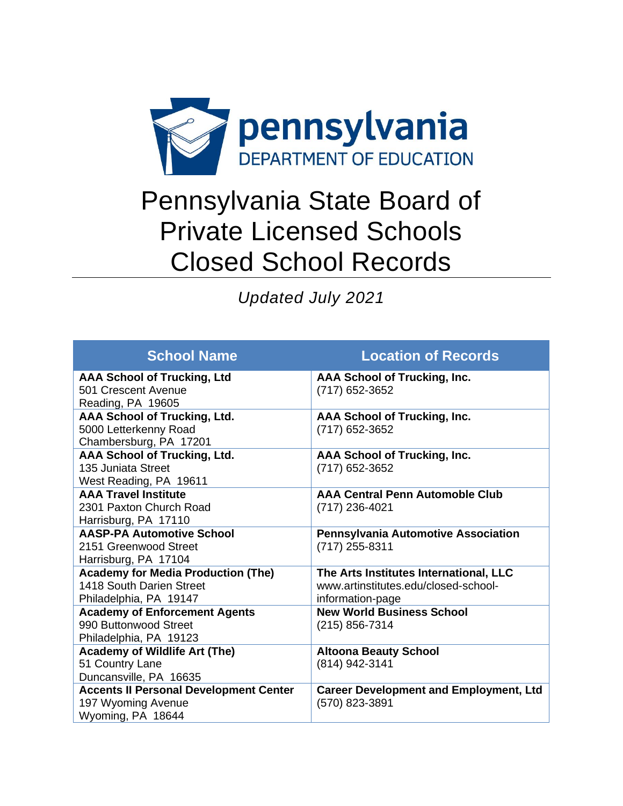

## Pennsylvania State Board of Private Licensed Schools Closed School Records

*Updated July 2021*

| <b>School Name</b>                                       | <b>Location of Records</b>                    |
|----------------------------------------------------------|-----------------------------------------------|
| <b>AAA School of Trucking, Ltd</b>                       | <b>AAA School of Trucking, Inc.</b>           |
| 501 Crescent Avenue                                      | (717) 652-3652                                |
| Reading, PA 19605                                        |                                               |
| <b>AAA School of Trucking, Ltd.</b>                      | <b>AAA School of Trucking, Inc.</b>           |
| 5000 Letterkenny Road                                    | (717) 652-3652                                |
| Chambersburg, PA 17201                                   |                                               |
| <b>AAA School of Trucking, Ltd.</b>                      | <b>AAA School of Trucking, Inc.</b>           |
| 135 Juniata Street                                       | (717) 652-3652                                |
| West Reading, PA 19611<br><b>AAA Travel Institute</b>    | <b>AAA Central Penn Automoble Club</b>        |
| 2301 Paxton Church Road                                  |                                               |
|                                                          | (717) 236-4021                                |
| Harrisburg, PA 17110<br><b>AASP-PA Automotive School</b> | Pennsylvania Automotive Association           |
| 2151 Greenwood Street                                    | (717) 255-8311                                |
| Harrisburg, PA 17104                                     |                                               |
| <b>Academy for Media Production (The)</b>                | The Arts Institutes International, LLC        |
| 1418 South Darien Street                                 | www.artinstitutes.edu/closed-school-          |
| Philadelphia, PA 19147                                   | information-page                              |
| <b>Academy of Enforcement Agents</b>                     | <b>New World Business School</b>              |
| 990 Buttonwood Street                                    | $(215) 856 - 7314$                            |
| Philadelphia, PA 19123                                   |                                               |
| <b>Academy of Wildlife Art (The)</b>                     | <b>Altoona Beauty School</b>                  |
| 51 Country Lane                                          | (814) 942-3141                                |
| Duncansville, PA 16635                                   |                                               |
| <b>Accents II Personal Development Center</b>            | <b>Career Development and Employment, Ltd</b> |
| 197 Wyoming Avenue                                       | (570) 823-3891                                |
| Wyoming, PA 18644                                        |                                               |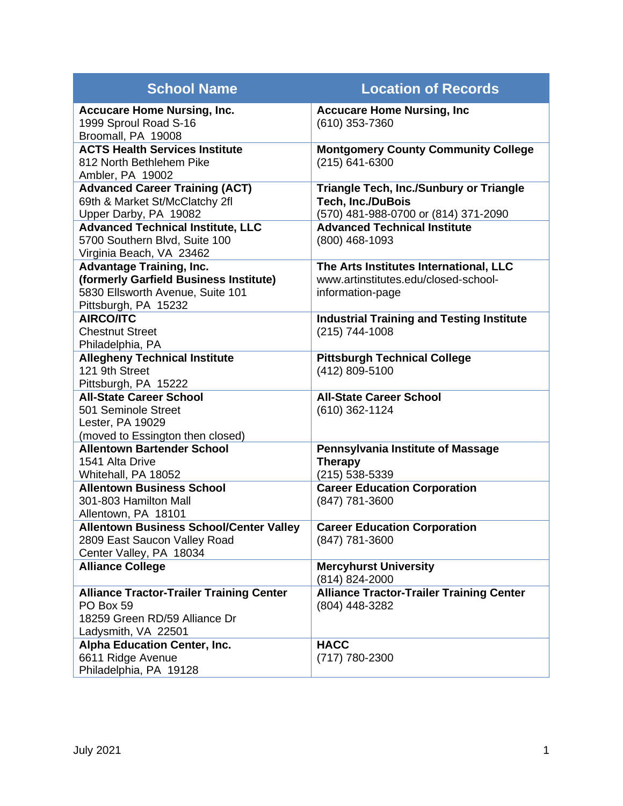| <b>School Name</b>                                                                                                                    | <b>Location of Records</b>                                                                                         |
|---------------------------------------------------------------------------------------------------------------------------------------|--------------------------------------------------------------------------------------------------------------------|
| <b>Accucare Home Nursing, Inc.</b><br>1999 Sproul Road S-16<br>Broomall, PA 19008                                                     | <b>Accucare Home Nursing, Inc.</b><br>(610) 353-7360                                                               |
| <b>ACTS Health Services Institute</b><br>812 North Bethlehem Pike<br>Ambler, PA 19002                                                 | <b>Montgomery County Community College</b><br>$(215)$ 641-6300                                                     |
| <b>Advanced Career Training (ACT)</b><br>69th & Market St/McClatchy 2fl<br>Upper Darby, PA 19082                                      | <b>Triangle Tech, Inc./Sunbury or Triangle</b><br><b>Tech, Inc./DuBois</b><br>(570) 481-988-0700 or (814) 371-2090 |
| <b>Advanced Technical Institute, LLC</b><br>5700 Southern Blvd, Suite 100<br>Virginia Beach, VA 23462                                 | <b>Advanced Technical Institute</b><br>$(800)$ 468-1093                                                            |
| <b>Advantage Training, Inc.</b><br>(formerly Garfield Business Institute)<br>5830 Ellsworth Avenue, Suite 101<br>Pittsburgh, PA 15232 | The Arts Institutes International, LLC<br>www.artinstitutes.edu/closed-school-<br>information-page                 |
| <b>AIRCO/ITC</b><br><b>Chestnut Street</b><br>Philadelphia, PA                                                                        | <b>Industrial Training and Testing Institute</b><br>(215) 744-1008                                                 |
| <b>Allegheny Technical Institute</b><br>121 9th Street<br>Pittsburgh, PA 15222                                                        | <b>Pittsburgh Technical College</b><br>(412) 809-5100                                                              |
| <b>All-State Career School</b><br>501 Seminole Street<br>Lester, PA 19029<br>(moved to Essington then closed)                         | <b>All-State Career School</b><br>(610) 362-1124                                                                   |
| <b>Allentown Bartender School</b><br>1541 Alta Drive<br>Whitehall, PA 18052                                                           | Pennsylvania Institute of Massage<br><b>Therapy</b><br>$(215) 538 - 5339$                                          |
| <b>Allentown Business School</b><br>301-803 Hamilton Mall<br>Allentown, PA 18101                                                      | <b>Career Education Corporation</b><br>(847) 781-3600                                                              |
| <b>Allentown Business School/Center Valley</b><br>2809 East Saucon Valley Road<br>Center Valley, PA 18034                             | <b>Career Education Corporation</b><br>(847) 781-3600                                                              |
| <b>Alliance College</b>                                                                                                               | <b>Mercyhurst University</b><br>(814) 824-2000                                                                     |
| <b>Alliance Tractor-Trailer Training Center</b><br>PO Box 59<br>18259 Green RD/59 Alliance Dr<br>Ladysmith, VA 22501                  | <b>Alliance Tractor-Trailer Training Center</b><br>(804) 448-3282                                                  |
| <b>Alpha Education Center, Inc.</b><br>6611 Ridge Avenue<br>Philadelphia, PA 19128                                                    | <b>HACC</b><br>(717) 780-2300                                                                                      |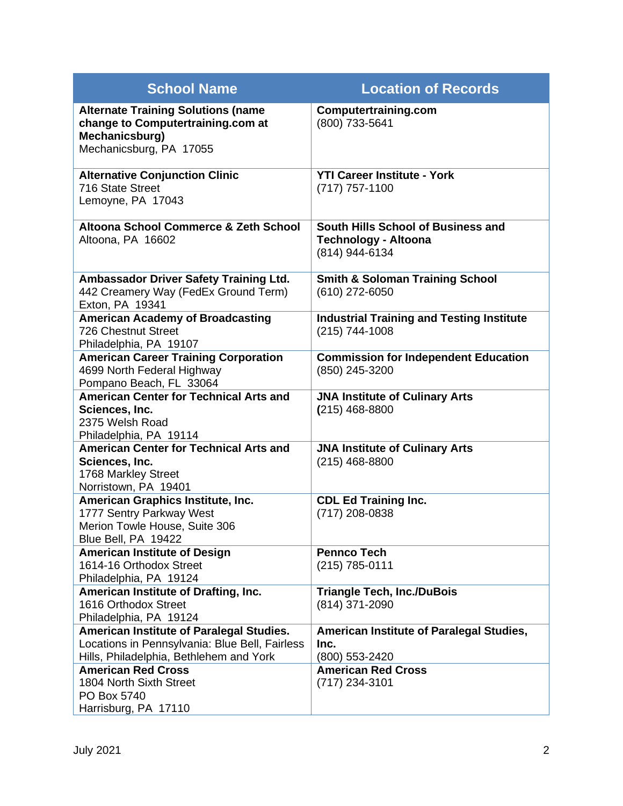| <b>School Name</b>                                                                                                                    | <b>Location of Records</b>                                                          |
|---------------------------------------------------------------------------------------------------------------------------------------|-------------------------------------------------------------------------------------|
| <b>Alternate Training Solutions (name</b><br>change to Computertraining.com at<br>Mechanicsburg)<br>Mechanicsburg, PA 17055           | <b>Computertraining.com</b><br>(800) 733-5641                                       |
| <b>Alternative Conjunction Clinic</b><br>716 State Street<br>Lemoyne, PA 17043                                                        | <b>YTI Career Institute - York</b><br>(717) 757-1100                                |
| Altoona School Commerce & Zeth School<br>Altoona, PA 16602                                                                            | South Hills School of Business and<br><b>Technology - Altoona</b><br>(814) 944-6134 |
| Ambassador Driver Safety Training Ltd.<br>442 Creamery Way (FedEx Ground Term)<br>Exton, PA 19341                                     | <b>Smith &amp; Soloman Training School</b><br>(610) 272-6050                        |
| <b>American Academy of Broadcasting</b><br>726 Chestnut Street<br>Philadelphia, PA 19107                                              | <b>Industrial Training and Testing Institute</b><br>$(215)$ 744-1008                |
| <b>American Career Training Corporation</b><br>4699 North Federal Highway<br>Pompano Beach, FL 33064                                  | <b>Commission for Independent Education</b><br>(850) 245-3200                       |
| <b>American Center for Technical Arts and</b><br>Sciences, Inc.<br>2375 Welsh Road<br>Philadelphia, PA 19114                          | <b>JNA Institute of Culinary Arts</b><br>$(215)$ 468-8800                           |
| <b>American Center for Technical Arts and</b><br>Sciences, Inc.<br>1768 Markley Street<br>Norristown, PA 19401                        | <b>JNA Institute of Culinary Arts</b><br>$(215)$ 468-8800                           |
| American Graphics Institute, Inc.<br>1777 Sentry Parkway West<br>Merion Towle House, Suite 306<br>Blue Bell, PA 19422                 | <b>CDL Ed Training Inc.</b><br>(717) 208-0838                                       |
| <b>American Institute of Design</b><br>1614-16 Orthodox Street<br>Philadelphia, PA 19124                                              | <b>Pennco Tech</b><br>$(215)$ 785-0111                                              |
| American Institute of Drafting, Inc.<br>1616 Orthodox Street<br>Philadelphia, PA 19124                                                | <b>Triangle Tech, Inc./DuBois</b><br>(814) 371-2090                                 |
| American Institute of Paralegal Studies.<br>Locations in Pennsylvania: Blue Bell, Fairless<br>Hills, Philadelphia, Bethlehem and York | American Institute of Paralegal Studies,<br>Inc.<br>(800) 553-2420                  |
| <b>American Red Cross</b><br>1804 North Sixth Street<br>PO Box 5740<br>Harrisburg, PA 17110                                           | <b>American Red Cross</b><br>(717) 234-3101                                         |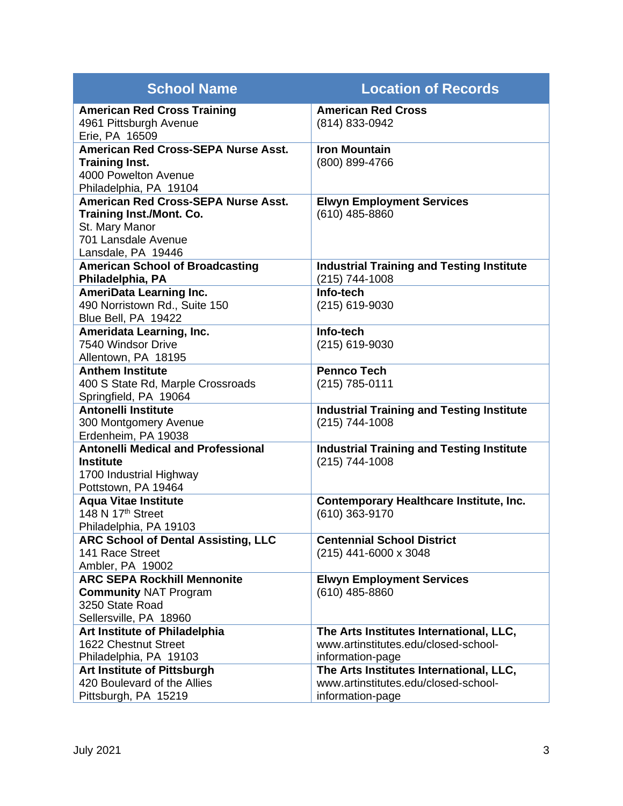| <b>School Name</b>                                                                                                                           | <b>Location of Records</b>                                                                          |
|----------------------------------------------------------------------------------------------------------------------------------------------|-----------------------------------------------------------------------------------------------------|
| <b>American Red Cross Training</b><br>4961 Pittsburgh Avenue<br>Erie, PA 16509                                                               | <b>American Red Cross</b><br>(814) 833-0942                                                         |
| <b>American Red Cross-SEPA Nurse Asst.</b><br><b>Training Inst.</b><br>4000 Powelton Avenue<br>Philadelphia, PA 19104                        | <b>Iron Mountain</b><br>(800) 899-4766                                                              |
| <b>American Red Cross-SEPA Nurse Asst.</b><br><b>Training Inst./Mont. Co.</b><br>St. Mary Manor<br>701 Lansdale Avenue<br>Lansdale, PA 19446 | <b>Elwyn Employment Services</b><br>(610) 485-8860                                                  |
| <b>American School of Broadcasting</b><br>Philadelphia, PA                                                                                   | <b>Industrial Training and Testing Institute</b><br>(215) 744-1008                                  |
| <b>AmeriData Learning Inc.</b><br>490 Norristown Rd., Suite 150<br>Blue Bell, PA 19422                                                       | Info-tech<br>(215) 619-9030                                                                         |
| Ameridata Learning, Inc.<br>7540 Windsor Drive<br>Allentown, PA 18195                                                                        | Info-tech<br>(215) 619-9030                                                                         |
| <b>Anthem Institute</b><br>400 S State Rd, Marple Crossroads<br>Springfield, PA 19064                                                        | <b>Pennco Tech</b><br>(215) 785-0111                                                                |
| <b>Antonelli Institute</b><br>300 Montgomery Avenue<br>Erdenheim, PA 19038                                                                   | <b>Industrial Training and Testing Institute</b><br>(215) 744-1008                                  |
| <b>Antonelli Medical and Professional</b><br><b>Institute</b><br>1700 Industrial Highway<br>Pottstown, PA 19464                              | <b>Industrial Training and Testing Institute</b><br>(215) 744-1008                                  |
| <b>Aqua Vitae Institute</b><br>148 N 17th Street<br>Philadelphia, PA 19103                                                                   | Contemporary Healthcare Institute, Inc.<br>(610) 363-9170                                           |
| <b>ARC School of Dental Assisting, LLC</b><br>141 Race Street<br>Ambler, PA 19002                                                            | <b>Centennial School District</b><br>(215) 441-6000 x 3048                                          |
| <b>ARC SEPA Rockhill Mennonite</b><br><b>Community NAT Program</b><br>3250 State Road<br>Sellersville, PA 18960                              | <b>Elwyn Employment Services</b><br>(610) 485-8860                                                  |
| Art Institute of Philadelphia<br>1622 Chestnut Street<br>Philadelphia, PA 19103                                                              | The Arts Institutes International, LLC,<br>www.artinstitutes.edu/closed-school-<br>information-page |
| <b>Art Institute of Pittsburgh</b><br>420 Boulevard of the Allies<br>Pittsburgh, PA 15219                                                    | The Arts Institutes International, LLC,<br>www.artinstitutes.edu/closed-school-<br>information-page |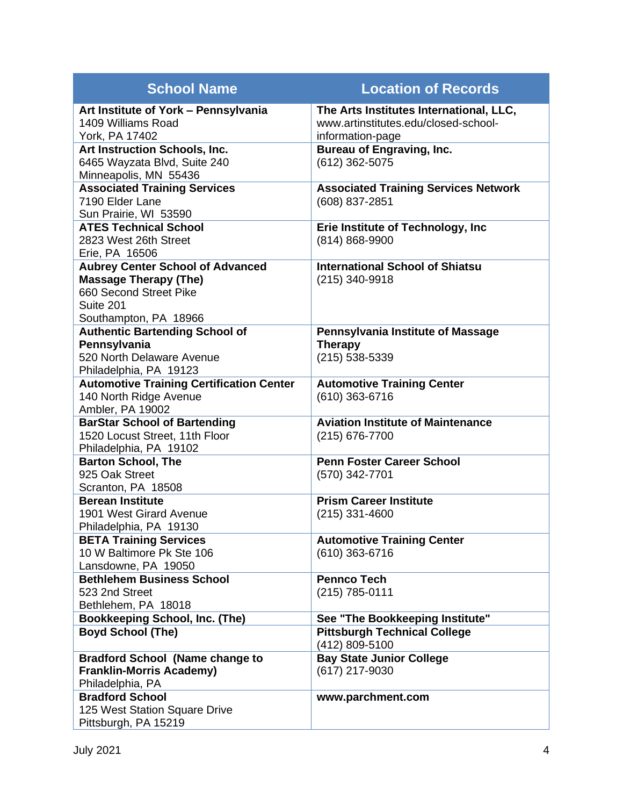| <b>School Name</b>                                                                                                                      | <b>Location of Records</b>                                                                          |
|-----------------------------------------------------------------------------------------------------------------------------------------|-----------------------------------------------------------------------------------------------------|
| Art Institute of York - Pennsylvania<br>1409 Williams Road<br>York, PA 17402                                                            | The Arts Institutes International, LLC,<br>www.artinstitutes.edu/closed-school-<br>information-page |
| Art Instruction Schools, Inc.<br>6465 Wayzata Blvd, Suite 240<br>Minneapolis, MN 55436                                                  | <b>Bureau of Engraving, Inc.</b><br>(612) 362-5075                                                  |
| <b>Associated Training Services</b><br>7190 Elder Lane<br>Sun Prairie, WI 53590                                                         | <b>Associated Training Services Network</b><br>(608) 837-2851                                       |
| <b>ATES Technical School</b><br>2823 West 26th Street<br>Erie, PA 16506                                                                 | <b>Erie Institute of Technology, Inc</b><br>(814) 868-9900                                          |
| <b>Aubrey Center School of Advanced</b><br><b>Massage Therapy (The)</b><br>660 Second Street Pike<br>Suite 201<br>Southampton, PA 18966 | <b>International School of Shiatsu</b><br>(215) 340-9918                                            |
| <b>Authentic Bartending School of</b>                                                                                                   | Pennsylvania Institute of Massage                                                                   |
| Pennsylvania                                                                                                                            | <b>Therapy</b>                                                                                      |
| 520 North Delaware Avenue<br>Philadelphia, PA 19123                                                                                     | (215) 538-5339                                                                                      |
| <b>Automotive Training Certification Center</b>                                                                                         | <b>Automotive Training Center</b>                                                                   |
| 140 North Ridge Avenue                                                                                                                  | (610) 363-6716                                                                                      |
| Ambler, PA 19002                                                                                                                        |                                                                                                     |
| <b>BarStar School of Bartending</b>                                                                                                     | <b>Aviation Institute of Maintenance</b>                                                            |
| 1520 Locust Street, 11th Floor                                                                                                          | (215) 676-7700                                                                                      |
| Philadelphia, PA 19102                                                                                                                  |                                                                                                     |
| <b>Barton School, The</b>                                                                                                               | <b>Penn Foster Career School</b>                                                                    |
| 925 Oak Street                                                                                                                          | (570) 342-7701                                                                                      |
| Scranton, PA 18508<br><b>Berean Institute</b>                                                                                           | <b>Prism Career Institute</b>                                                                       |
| 1901 West Girard Avenue                                                                                                                 | (215) 331-4600                                                                                      |
| Philadelphia, PA 19130                                                                                                                  |                                                                                                     |
| <b>BETA Training Services</b>                                                                                                           | <b>Automotive Training Center</b>                                                                   |
| 10 W Baltimore Pk Ste 106                                                                                                               | (610) 363-6716                                                                                      |
| Lansdowne, PA 19050                                                                                                                     |                                                                                                     |
| <b>Bethlehem Business School</b>                                                                                                        | <b>Pennco Tech</b>                                                                                  |
| 523 2nd Street                                                                                                                          | (215) 785-0111                                                                                      |
| Bethlehem, PA 18018<br><b>Bookkeeping School, Inc. (The)</b>                                                                            | See "The Bookkeeping Institute"                                                                     |
| <b>Boyd School (The)</b>                                                                                                                | <b>Pittsburgh Technical College</b>                                                                 |
|                                                                                                                                         | (412) 809-5100                                                                                      |
| <b>Bradford School (Name change to</b>                                                                                                  | <b>Bay State Junior College</b>                                                                     |
| <b>Franklin-Morris Academy)</b>                                                                                                         | (617) 217-9030                                                                                      |
| Philadelphia, PA                                                                                                                        |                                                                                                     |
| <b>Bradford School</b>                                                                                                                  | www.parchment.com                                                                                   |
| 125 West Station Square Drive                                                                                                           |                                                                                                     |
| Pittsburgh, PA 15219                                                                                                                    |                                                                                                     |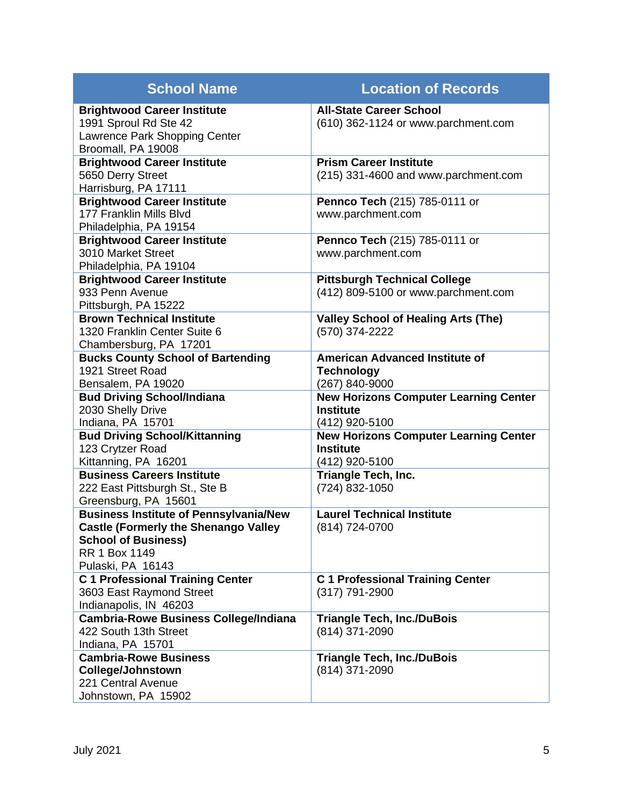| <b>School Name</b>                                                                                                                                               | <b>Location of Records</b>                                                         |
|------------------------------------------------------------------------------------------------------------------------------------------------------------------|------------------------------------------------------------------------------------|
| <b>Brightwood Career Institute</b><br>1991 Sproul Rd Ste 42<br>Lawrence Park Shopping Center<br>Broomall, PA 19008                                               | <b>All-State Career School</b><br>(610) 362-1124 or www.parchment.com              |
| <b>Brightwood Career Institute</b><br>5650 Derry Street<br>Harrisburg, PA 17111                                                                                  | <b>Prism Career Institute</b><br>(215) 331-4600 and www.parchment.com              |
| <b>Brightwood Career Institute</b><br>177 Franklin Mills Blvd<br>Philadelphia, PA 19154                                                                          | Pennco Tech (215) 785-0111 or<br>www.parchment.com                                 |
| <b>Brightwood Career Institute</b><br>3010 Market Street<br>Philadelphia, PA 19104                                                                               | Pennco Tech (215) 785-0111 or<br>www.parchment.com                                 |
| <b>Brightwood Career Institute</b><br>933 Penn Avenue<br>Pittsburgh, PA 15222                                                                                    | <b>Pittsburgh Technical College</b><br>(412) 809-5100 or www.parchment.com         |
| <b>Brown Technical Institute</b><br>1320 Franklin Center Suite 6<br>Chambersburg, PA 17201                                                                       | <b>Valley School of Healing Arts (The)</b><br>(570) 374-2222                       |
| <b>Bucks County School of Bartending</b><br>1921 Street Road<br>Bensalem, PA 19020                                                                               | <b>American Advanced Institute of</b><br><b>Technology</b><br>(267) 840-9000       |
| <b>Bud Driving School/Indiana</b><br>2030 Shelly Drive<br>Indiana, PA 15701                                                                                      | <b>New Horizons Computer Learning Center</b><br><b>Institute</b><br>(412) 920-5100 |
| <b>Bud Driving School/Kittanning</b><br>123 Crytzer Road<br>Kittanning, PA 16201                                                                                 | <b>New Horizons Computer Learning Center</b><br><b>Institute</b><br>(412) 920-5100 |
| <b>Business Careers Institute</b><br>222 East Pittsburgh St., Ste B<br>Greensburg, PA 15601                                                                      | <b>Triangle Tech, Inc.</b><br>(724) 832-1050                                       |
| <b>Business Institute of Pennsylvania/New</b><br><b>Castle (Formerly the Shenango Valley</b><br><b>School of Business)</b><br>RR 1 Box 1149<br>Pulaski, PA 16143 | <b>Laurel Technical Institute</b><br>(814) 724-0700                                |
| <b>C1 Professional Training Center</b><br>3603 East Raymond Street<br>Indianapolis, IN 46203                                                                     | <b>C 1 Professional Training Center</b><br>(317) 791-2900                          |
| <b>Cambria-Rowe Business College/Indiana</b><br>422 South 13th Street<br>Indiana, PA 15701                                                                       | <b>Triangle Tech, Inc./DuBois</b><br>(814) 371-2090                                |
| <b>Cambria-Rowe Business</b><br><b>College/Johnstown</b><br>221 Central Avenue<br>Johnstown, PA 15902                                                            | <b>Triangle Tech, Inc./DuBois</b><br>(814) 371-2090                                |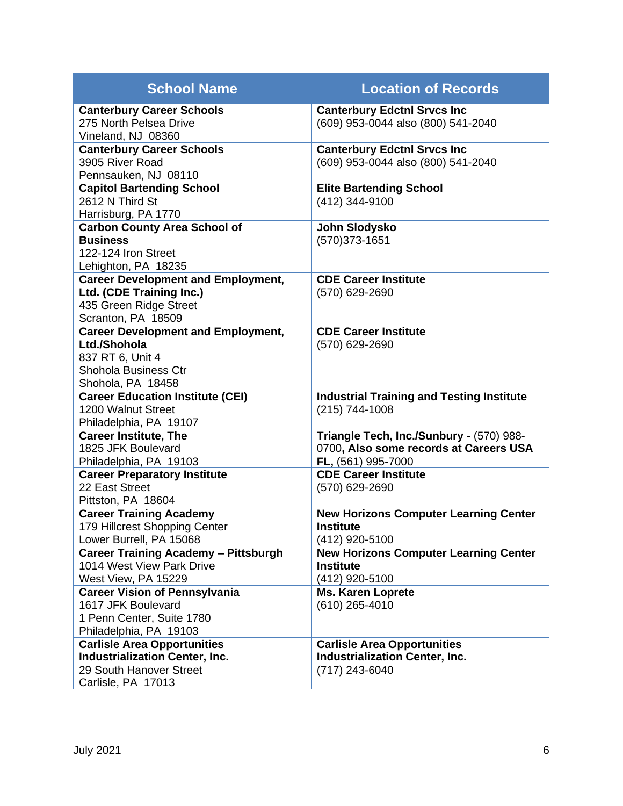| <b>School Name</b>                                               | <b>Location of Records</b>                                         |
|------------------------------------------------------------------|--------------------------------------------------------------------|
| <b>Canterbury Career Schools</b>                                 | <b>Canterbury Edctnl Srvcs Inc</b>                                 |
| 275 North Pelsea Drive<br>Vineland, NJ 08360                     | (609) 953-0044 also (800) 541-2040                                 |
| <b>Canterbury Career Schools</b>                                 | <b>Canterbury Edctnl Srvcs Inc</b>                                 |
| 3905 River Road                                                  | (609) 953-0044 also (800) 541-2040                                 |
| Pennsauken, NJ 08110                                             |                                                                    |
| <b>Capitol Bartending School</b><br>2612 N Third St              | <b>Elite Bartending School</b><br>(412) 344-9100                   |
| Harrisburg, PA 1770                                              |                                                                    |
| <b>Carbon County Area School of</b>                              | John Slodysko                                                      |
| <b>Business</b>                                                  | (570) 373-1651                                                     |
| 122-124 Iron Street<br>Lehighton, PA 18235                       |                                                                    |
| <b>Career Development and Employment,</b>                        | <b>CDE Career Institute</b>                                        |
| Ltd. (CDE Training Inc.)                                         | (570) 629-2690                                                     |
| 435 Green Ridge Street                                           |                                                                    |
| Scranton, PA 18509<br><b>Career Development and Employment,</b>  | <b>CDE Career Institute</b>                                        |
| Ltd./Shohola                                                     | (570) 629-2690                                                     |
| 837 RT 6, Unit 4                                                 |                                                                    |
| <b>Shohola Business Ctr</b>                                      |                                                                    |
| Shohola, PA 18458                                                |                                                                    |
| <b>Career Education Institute (CEI)</b><br>1200 Walnut Street    | <b>Industrial Training and Testing Institute</b><br>(215) 744-1008 |
| Philadelphia, PA 19107                                           |                                                                    |
| <b>Career Institute, The</b>                                     | Triangle Tech, Inc./Sunbury - (570) 988-                           |
| 1825 JFK Boulevard                                               | 0700, Also some records at Careers USA                             |
| Philadelphia, PA 19103<br><b>Career Preparatory Institute</b>    | FL, (561) 995-7000<br><b>CDE Career Institute</b>                  |
| 22 East Street                                                   | (570) 629-2690                                                     |
| Pittston, PA 18604                                               |                                                                    |
| <b>Career Training Academy</b>                                   | <b>New Horizons Computer Learning Center</b>                       |
| 179 Hillcrest Shopping Center<br>Lower Burrell, PA 15068         | <b>Institute</b><br>(412) 920-5100                                 |
| <b>Career Training Academy - Pittsburgh</b>                      | <b>New Horizons Computer Learning Center</b>                       |
| 1014 West View Park Drive                                        | <b>Institute</b>                                                   |
| West View, PA 15229                                              | (412) 920-5100                                                     |
| <b>Career Vision of Pennsylvania</b><br>1617 JFK Boulevard       | <b>Ms. Karen Loprete</b><br>$(610)$ 265-4010                       |
| 1 Penn Center, Suite 1780                                        |                                                                    |
| Philadelphia, PA 19103                                           |                                                                    |
| <b>Carlisle Area Opportunities</b>                               | <b>Carlisle Area Opportunities</b>                                 |
| <b>Industrialization Center, Inc.</b><br>29 South Hanover Street | <b>Industrialization Center, Inc.</b><br>(717) 243-6040            |
| Carlisle, PA 17013                                               |                                                                    |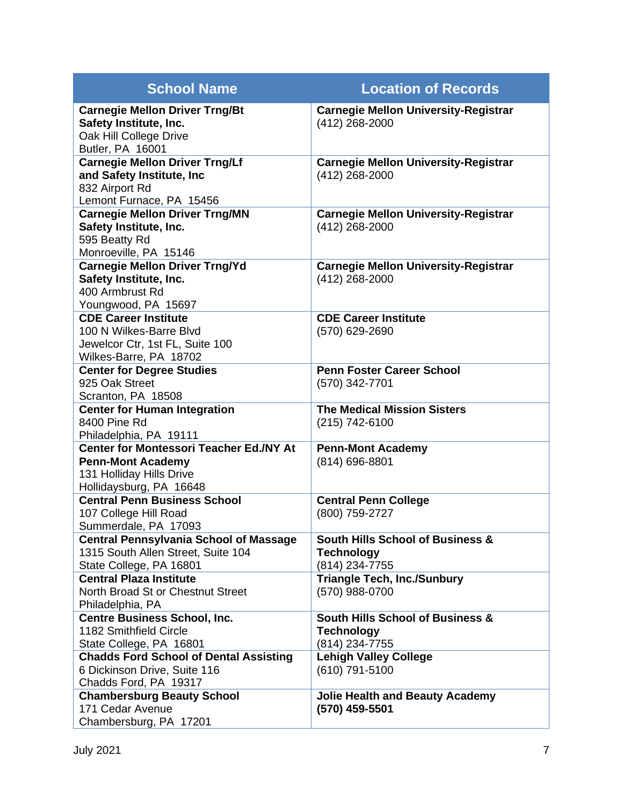| <b>School Name</b>                                                                                                                | <b>Location of Records</b>                                                         |
|-----------------------------------------------------------------------------------------------------------------------------------|------------------------------------------------------------------------------------|
| <b>Carnegie Mellon Driver Trng/Bt</b><br><b>Safety Institute, Inc.</b><br>Oak Hill College Drive<br>Butler, PA 16001              | <b>Carnegie Mellon University-Registrar</b><br>(412) 268-2000                      |
| <b>Carnegie Mellon Driver Trng/Lf</b><br>and Safety Institute, Inc<br>832 Airport Rd<br>Lemont Furnace, PA 15456                  | <b>Carnegie Mellon University-Registrar</b><br>(412) 268-2000                      |
| <b>Carnegie Mellon Driver Trng/MN</b><br>Safety Institute, Inc.<br>595 Beatty Rd<br>Monroeville, PA 15146                         | <b>Carnegie Mellon University-Registrar</b><br>(412) 268-2000                      |
| <b>Carnegie Mellon Driver Trng/Yd</b><br>Safety Institute, Inc.<br>400 Armbrust Rd<br>Youngwood, PA 15697                         | <b>Carnegie Mellon University-Registrar</b><br>(412) 268-2000                      |
| <b>CDE Career Institute</b><br>100 N Wilkes-Barre Blyd<br>Jewelcor Ctr, 1st FL, Suite 100<br>Wilkes-Barre, PA 18702               | <b>CDE Career Institute</b><br>(570) 629-2690                                      |
| <b>Center for Degree Studies</b><br>925 Oak Street<br>Scranton, PA 18508                                                          | <b>Penn Foster Career School</b><br>(570) 342-7701                                 |
| <b>Center for Human Integration</b><br>8400 Pine Rd<br>Philadelphia, PA 19111                                                     | <b>The Medical Mission Sisters</b><br>(215) 742-6100                               |
| <b>Center for Montessori Teacher Ed./NY At</b><br><b>Penn-Mont Academy</b><br>131 Holliday Hills Drive<br>Hollidaysburg, PA 16648 | <b>Penn-Mont Academy</b><br>(814) 696-8801                                         |
| <b>Central Penn Business School</b><br>107 College Hill Road<br>Summerdale, PA 17093                                              | <b>Central Penn College</b><br>(800) 759-2727                                      |
| <b>Central Pennsylvania School of Massage</b><br>1315 South Allen Street, Suite 104<br>State College, PA 16801                    | <b>South Hills School of Business &amp;</b><br><b>Technology</b><br>(814) 234-7755 |
| <b>Central Plaza Institute</b><br>North Broad St or Chestnut Street<br>Philadelphia, PA                                           | <b>Triangle Tech, Inc./Sunbury</b><br>(570) 988-0700                               |
| <b>Centre Business School, Inc.</b><br>1182 Smithfield Circle<br>State College, PA 16801                                          | <b>South Hills School of Business &amp;</b><br><b>Technology</b><br>(814) 234-7755 |
| <b>Chadds Ford School of Dental Assisting</b><br>6 Dickinson Drive, Suite 116<br>Chadds Ford, PA 19317                            | <b>Lehigh Valley College</b><br>(610) 791-5100                                     |
| <b>Chambersburg Beauty School</b><br>171 Cedar Avenue<br>Chambersburg, PA 17201                                                   | <b>Jolie Health and Beauty Academy</b><br>(570) 459-5501                           |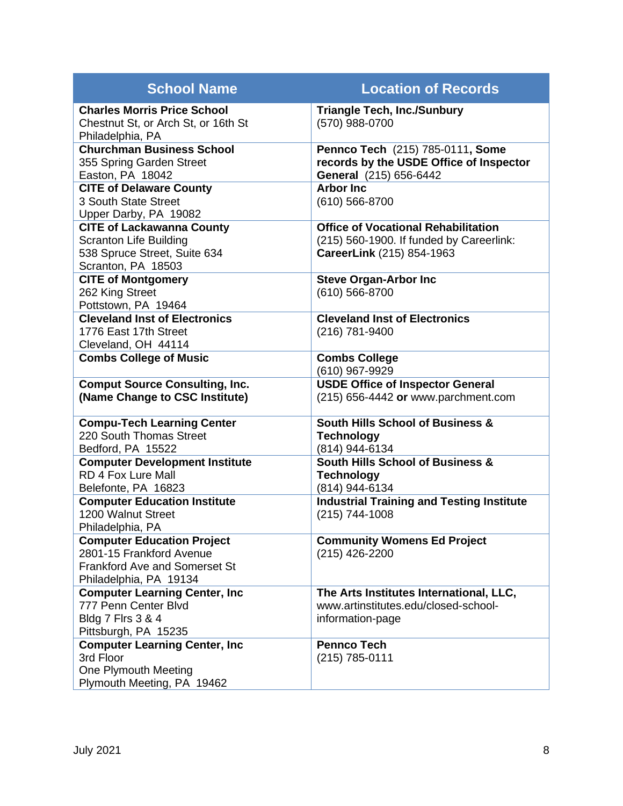| <b>School Name</b>                                                                                                              | <b>Location of Records</b>                                                                                          |
|---------------------------------------------------------------------------------------------------------------------------------|---------------------------------------------------------------------------------------------------------------------|
| <b>Charles Morris Price School</b><br>Chestnut St, or Arch St, or 16th St<br>Philadelphia, PA                                   | <b>Triangle Tech, Inc./Sunbury</b><br>(570) 988-0700                                                                |
| <b>Churchman Business School</b><br>355 Spring Garden Street<br>Easton, PA 18042                                                | Pennco Tech (215) 785-0111, Some<br>records by the USDE Office of Inspector<br>General (215) 656-6442               |
| <b>CITE of Delaware County</b><br>3 South State Street<br>Upper Darby, PA 19082                                                 | <b>Arbor Inc.</b><br>(610) 566-8700                                                                                 |
| <b>CITE of Lackawanna County</b><br><b>Scranton Life Building</b><br>538 Spruce Street, Suite 634<br>Scranton, PA 18503         | <b>Office of Vocational Rehabilitation</b><br>(215) 560-1900. If funded by Careerlink:<br>CareerLink (215) 854-1963 |
| <b>CITE of Montgomery</b><br>262 King Street<br>Pottstown, PA 19464                                                             | <b>Steve Organ-Arbor Inc</b><br>(610) 566-8700                                                                      |
| <b>Cleveland Inst of Electronics</b><br>1776 East 17th Street<br>Cleveland, OH 44114                                            | <b>Cleveland Inst of Electronics</b><br>(216) 781-9400                                                              |
| <b>Combs College of Music</b>                                                                                                   | <b>Combs College</b><br>(610) 967-9929                                                                              |
| <b>Comput Source Consulting, Inc.</b><br>(Name Change to CSC Institute)                                                         | <b>USDE Office of Inspector General</b><br>(215) 656-4442 or www.parchment.com                                      |
| <b>Compu-Tech Learning Center</b><br>220 South Thomas Street<br>Bedford, PA 15522                                               | <b>South Hills School of Business &amp;</b><br><b>Technology</b><br>(814) 944-6134                                  |
| <b>Computer Development Institute</b><br><b>RD 4 Fox Lure Mall</b><br>Belefonte, PA 16823                                       | <b>South Hills School of Business &amp;</b><br><b>Technology</b><br>(814) 944-6134                                  |
| <b>Computer Education Institute</b><br>1200 Walnut Street<br>Philadelphia, PA                                                   | <b>Industrial Training and Testing Institute</b><br>(215) 744-1008                                                  |
| <b>Computer Education Project</b><br>2801-15 Frankford Avenue<br><b>Frankford Ave and Somerset St</b><br>Philadelphia, PA 19134 | <b>Community Womens Ed Project</b><br>(215) 426-2200                                                                |
| <b>Computer Learning Center, Inc.</b><br>777 Penn Center Blvd<br>Bldg 7 Flrs 3 & 4<br>Pittsburgh, PA 15235                      | The Arts Institutes International, LLC,<br>www.artinstitutes.edu/closed-school-<br>information-page                 |
| <b>Computer Learning Center, Inc</b><br>3rd Floor<br>One Plymouth Meeting<br>Plymouth Meeting, PA 19462                         | <b>Pennco Tech</b><br>(215) 785-0111                                                                                |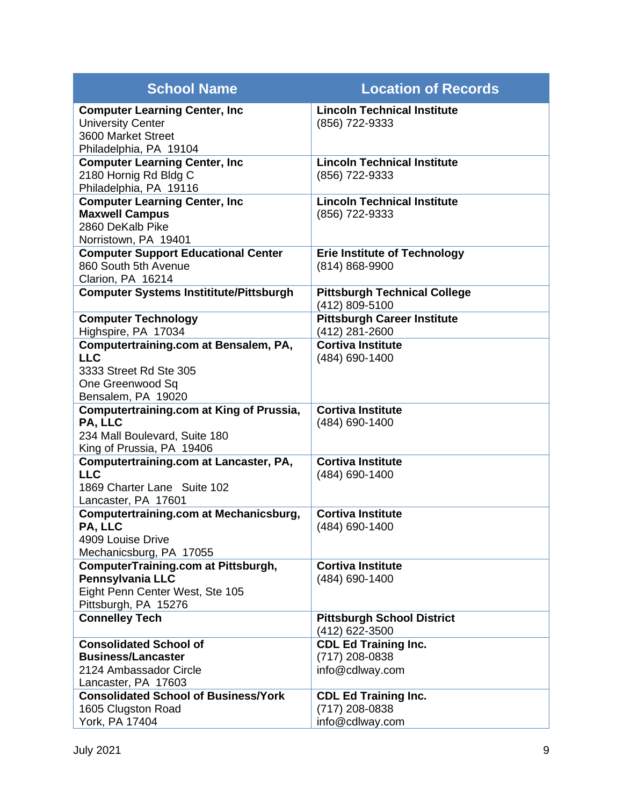| <b>School Name</b>                                                                                                      | <b>Location of Records</b>                                       |
|-------------------------------------------------------------------------------------------------------------------------|------------------------------------------------------------------|
| <b>Computer Learning Center, Inc.</b><br><b>University Center</b><br>3600 Market Street<br>Philadelphia, PA 19104       | <b>Lincoln Technical Institute</b><br>(856) 722-9333             |
| <b>Computer Learning Center, Inc</b><br>2180 Hornig Rd Bldg C<br>Philadelphia, PA 19116                                 | <b>Lincoln Technical Institute</b><br>(856) 722-9333             |
| <b>Computer Learning Center, Inc</b><br><b>Maxwell Campus</b><br>2860 DeKalb Pike<br>Norristown, PA 19401               | <b>Lincoln Technical Institute</b><br>(856) 722-9333             |
| <b>Computer Support Educational Center</b><br>860 South 5th Avenue<br>Clarion, PA 16214                                 | <b>Erie Institute of Technology</b><br>(814) 868-9900            |
| <b>Computer Systems Instititute/Pittsburgh</b>                                                                          | <b>Pittsburgh Technical College</b><br>(412) 809-5100            |
| <b>Computer Technology</b><br>Highspire, PA 17034                                                                       | <b>Pittsburgh Career Institute</b><br>(412) 281-2600             |
| Computertraining.com at Bensalem, PA,<br><b>LLC</b><br>3333 Street Rd Ste 305<br>One Greenwood Sq<br>Bensalem, PA 19020 | <b>Cortiva Institute</b><br>(484) 690-1400                       |
| Computertraining.com at King of Prussia,<br>PA, LLC<br>234 Mall Boulevard, Suite 180<br>King of Prussia, PA 19406       | <b>Cortiva Institute</b><br>(484) 690-1400                       |
| Computertraining.com at Lancaster, PA,<br><b>LLC</b><br>1869 Charter Lane Suite 102<br>Lancaster, PA 17601              | <b>Cortiva Institute</b><br>(484) 690-1400                       |
| Computertraining.com at Mechanicsburg,<br>PA, LLC<br>4909 Louise Drive<br>Mechanicsburg, PA 17055                       | <b>Cortiva Institute</b><br>(484) 690-1400                       |
| ComputerTraining.com at Pittsburgh,<br>Pennsylvania LLC<br>Eight Penn Center West, Ste 105<br>Pittsburgh, PA 15276      | <b>Cortiva Institute</b><br>(484) 690-1400                       |
| <b>Connelley Tech</b>                                                                                                   | <b>Pittsburgh School District</b><br>(412) 622-3500              |
| <b>Consolidated School of</b><br><b>Business/Lancaster</b><br>2124 Ambassador Circle<br>Lancaster, PA 17603             | <b>CDL Ed Training Inc.</b><br>(717) 208-0838<br>info@cdlway.com |
| <b>Consolidated School of Business/York</b><br>1605 Clugston Road<br>York, PA 17404                                     | <b>CDL Ed Training Inc.</b><br>(717) 208-0838<br>info@cdlway.com |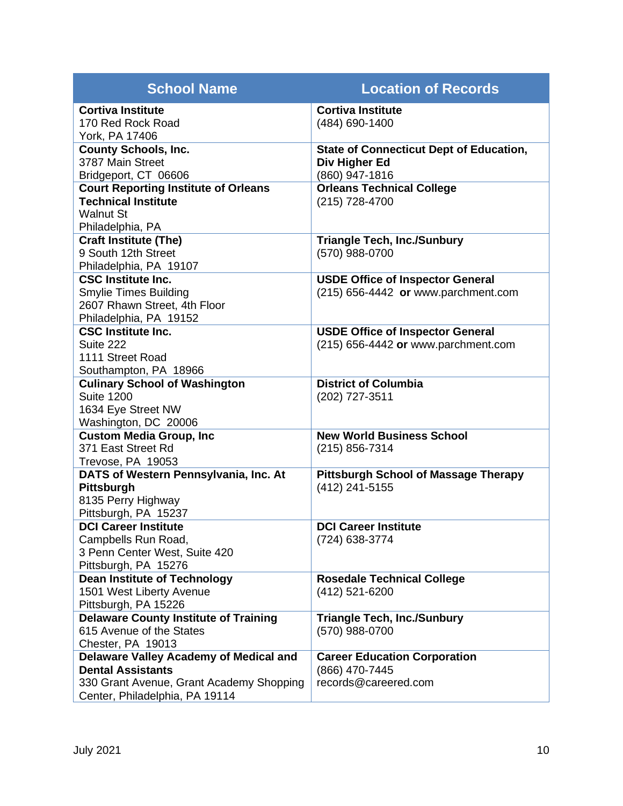| <b>School Name</b>                                                                                                                               | <b>Location of Records</b>                                                        |
|--------------------------------------------------------------------------------------------------------------------------------------------------|-----------------------------------------------------------------------------------|
| <b>Cortiva Institute</b><br>170 Red Rock Road<br>York, PA 17406                                                                                  | <b>Cortiva Institute</b><br>(484) 690-1400                                        |
| <b>County Schools, Inc.</b><br>3787 Main Street<br>Bridgeport, CT 06606                                                                          | <b>State of Connecticut Dept of Education,</b><br>Div Higher Ed<br>(860) 947-1816 |
| <b>Court Reporting Institute of Orleans</b><br><b>Technical Institute</b><br><b>Walnut St</b><br>Philadelphia, PA                                | <b>Orleans Technical College</b><br>(215) 728-4700                                |
| <b>Craft Institute (The)</b><br>9 South 12th Street<br>Philadelphia, PA 19107                                                                    | <b>Triangle Tech, Inc./Sunbury</b><br>(570) 988-0700                              |
| <b>CSC Institute Inc.</b><br><b>Smylie Times Building</b><br>2607 Rhawn Street, 4th Floor<br>Philadelphia, PA 19152                              | <b>USDE Office of Inspector General</b><br>(215) 656-4442 or www.parchment.com    |
| <b>CSC Institute Inc.</b><br>Suite 222<br>1111 Street Road<br>Southampton, PA 18966                                                              | <b>USDE Office of Inspector General</b><br>(215) 656-4442 or www.parchment.com    |
| <b>Culinary School of Washington</b><br><b>Suite 1200</b><br>1634 Eye Street NW<br>Washington, DC 20006                                          | <b>District of Columbia</b><br>(202) 727-3511                                     |
| <b>Custom Media Group, Inc</b><br>371 East Street Rd<br>Trevose, PA 19053                                                                        | <b>New World Business School</b><br>$(215)$ 856-7314                              |
| DATS of Western Pennsylvania, Inc. At<br>Pittsburgh<br>8135 Perry Highway<br>Pittsburgh, PA 15237                                                | <b>Pittsburgh School of Massage Therapy</b><br>(412) 241-5155                     |
| <b>DCI Career Institute</b><br>Campbells Run Road,<br>3 Penn Center West, Suite 420<br>Pittsburgh, PA 15276                                      | <b>DCI Career Institute</b><br>(724) 638-3774                                     |
| <b>Dean Institute of Technology</b><br>1501 West Liberty Avenue<br>Pittsburgh, PA 15226                                                          | <b>Rosedale Technical College</b><br>(412) 521-6200                               |
| <b>Delaware County Institute of Training</b><br>615 Avenue of the States<br>Chester, PA 19013                                                    | <b>Triangle Tech, Inc./Sunbury</b><br>(570) 988-0700                              |
| Delaware Valley Academy of Medical and<br><b>Dental Assistants</b><br>330 Grant Avenue, Grant Academy Shopping<br>Center, Philadelphia, PA 19114 | <b>Career Education Corporation</b><br>(866) 470-7445<br>records@careered.com     |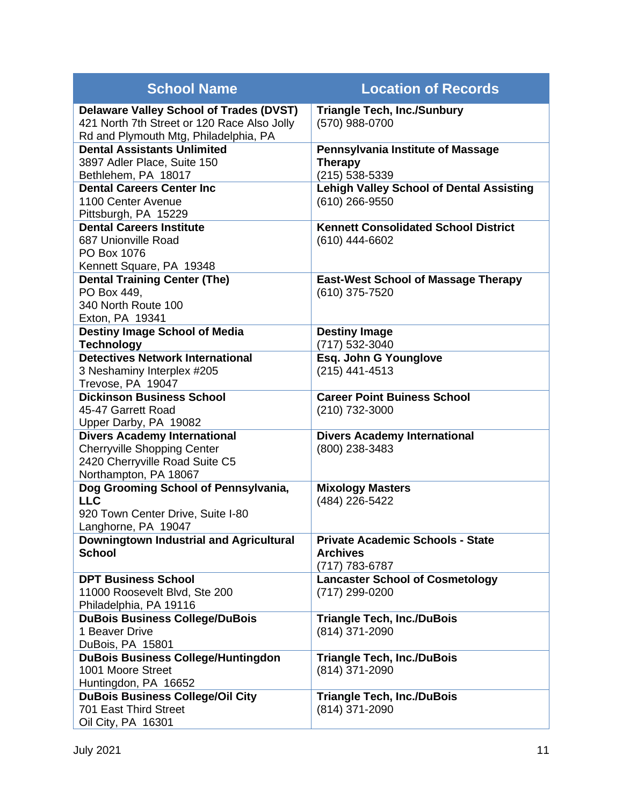| <b>School Name</b>                                                                                                                     | <b>Location of Records</b>                                                   |
|----------------------------------------------------------------------------------------------------------------------------------------|------------------------------------------------------------------------------|
| <b>Delaware Valley School of Trades (DVST)</b><br>421 North 7th Street or 120 Race Also Jolly<br>Rd and Plymouth Mtg, Philadelphia, PA | <b>Triangle Tech, Inc./Sunbury</b><br>(570) 988-0700                         |
| <b>Dental Assistants Unlimited</b><br>3897 Adler Place, Suite 150<br>Bethlehem, PA 18017                                               | Pennsylvania Institute of Massage<br><b>Therapy</b><br>(215) 538-5339        |
| <b>Dental Careers Center Inc.</b><br>1100 Center Avenue<br>Pittsburgh, PA 15229                                                        | <b>Lehigh Valley School of Dental Assisting</b><br>(610) 266-9550            |
| <b>Dental Careers Institute</b><br>687 Unionville Road<br>PO Box 1076                                                                  | <b>Kennett Consolidated School District</b><br>(610) 444-6602                |
| Kennett Square, PA 19348<br><b>Dental Training Center (The)</b><br>PO Box 449.<br>340 North Route 100                                  | <b>East-West School of Massage Therapy</b><br>(610) 375-7520                 |
| Exton, PA 19341<br><b>Destiny Image School of Media</b><br><b>Technology</b>                                                           | <b>Destiny Image</b><br>(717) 532-3040                                       |
| <b>Detectives Network International</b><br>3 Neshaminy Interplex #205<br>Trevose, PA 19047                                             | Esq. John G Younglove<br>(215) 441-4513                                      |
| <b>Dickinson Business School</b><br>45-47 Garrett Road<br>Upper Darby, PA 19082                                                        | <b>Career Point Buiness School</b><br>(210) 732-3000                         |
| <b>Divers Academy International</b><br><b>Cherryville Shopping Center</b><br>2420 Cherryville Road Suite C5<br>Northampton, PA 18067   | <b>Divers Academy International</b><br>(800) 238-3483                        |
| Dog Grooming School of Pennsylvania,<br><b>LLC</b><br>920 Town Center Drive, Suite I-80<br>Langhorne, PA 19047                         | <b>Mixology Masters</b><br>(484) 226-5422                                    |
| Downingtown Industrial and Agricultural<br><b>School</b>                                                                               | <b>Private Academic Schools - State</b><br><b>Archives</b><br>(717) 783-6787 |
| <b>DPT Business School</b><br>11000 Roosevelt Blvd, Ste 200<br>Philadelphia, PA 19116                                                  | <b>Lancaster School of Cosmetology</b><br>(717) 299-0200                     |
| <b>DuBois Business College/DuBois</b><br>1 Beaver Drive<br>DuBois, PA 15801                                                            | <b>Triangle Tech, Inc./DuBois</b><br>(814) 371-2090                          |
| <b>DuBois Business College/Huntingdon</b><br>1001 Moore Street<br>Huntingdon, PA 16652                                                 | <b>Triangle Tech, Inc./DuBois</b><br>(814) 371-2090                          |
| <b>DuBois Business College/Oil City</b><br>701 East Third Street<br>Oil City, PA 16301                                                 | <b>Triangle Tech, Inc./DuBois</b><br>(814) 371-2090                          |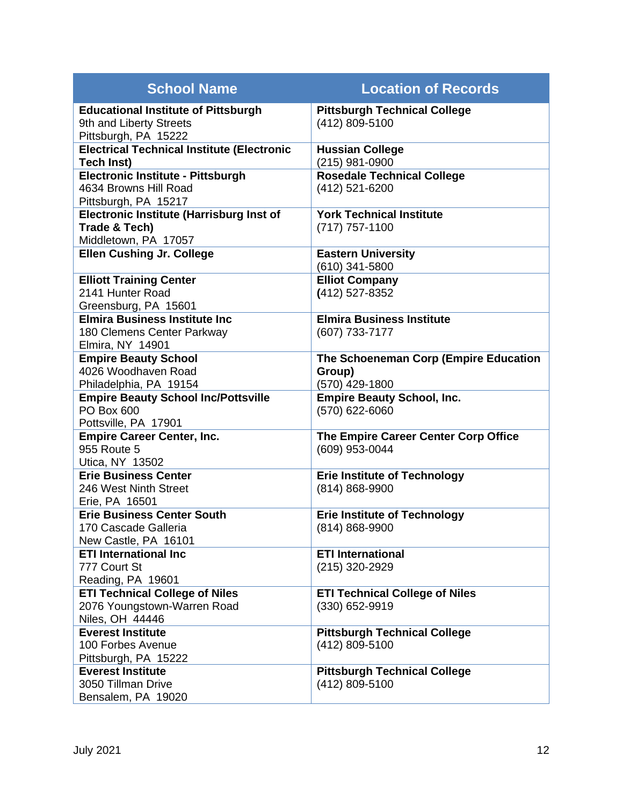| <b>School Name</b>                                         | <b>Location of Records</b>                              |
|------------------------------------------------------------|---------------------------------------------------------|
| <b>Educational Institute of Pittsburgh</b>                 | <b>Pittsburgh Technical College</b>                     |
| 9th and Liberty Streets<br>Pittsburgh, PA 15222            | (412) 809-5100                                          |
| <b>Electrical Technical Institute (Electronic</b>          | <b>Hussian College</b>                                  |
| <b>Tech Inst)</b>                                          | (215) 981-0900                                          |
| Electronic Institute - Pittsburgh                          | <b>Rosedale Technical College</b>                       |
| 4634 Browns Hill Road<br>Pittsburgh, PA 15217              | (412) 521-6200                                          |
| <b>Electronic Institute (Harrisburg Inst of</b>            | <b>York Technical Institute</b>                         |
| Trade & Tech)                                              | (717) 757-1100                                          |
| Middletown, PA 17057                                       |                                                         |
| <b>Ellen Cushing Jr. College</b>                           | <b>Eastern University</b>                               |
|                                                            | (610) 341-5800                                          |
| <b>Elliott Training Center</b>                             | <b>Elliot Company</b>                                   |
| 2141 Hunter Road                                           | (412) 527-8352                                          |
| Greensburg, PA 15601                                       |                                                         |
| <b>Elmira Business Institute Inc.</b>                      | <b>Elmira Business Institute</b>                        |
| 180 Clemens Center Parkway                                 | (607) 733-7177                                          |
| Elmira, NY 14901<br><b>Empire Beauty School</b>            | The Schoeneman Corp (Empire Education                   |
| 4026 Woodhaven Road                                        | Group)                                                  |
| Philadelphia, PA 19154                                     | (570) 429-1800                                          |
| <b>Empire Beauty School Inc/Pottsville</b>                 | <b>Empire Beauty School, Inc.</b>                       |
| PO Box 600                                                 | (570) 622-6060                                          |
| Pottsville, PA 17901                                       |                                                         |
| <b>Empire Career Center, Inc.</b>                          | The Empire Career Center Corp Office                    |
| 955 Route 5                                                | (609) 953-0044                                          |
| Utica, NY 13502                                            |                                                         |
| <b>Erie Business Center</b>                                | <b>Erie Institute of Technology</b>                     |
| 246 West Ninth Street                                      | (814) 868-9900                                          |
| Erie, PA 16501                                             |                                                         |
| <b>Erie Business Center South</b>                          | <b>Erie Institute of Technology</b>                     |
| 170 Cascade Galleria                                       | (814) 868-9900                                          |
| New Castle, PA 16101                                       |                                                         |
| <b>ETI International Inc</b>                               | <b>ETI International</b>                                |
| 777 Court St                                               | (215) 320-2929                                          |
| Reading, PA 19601<br><b>ETI Technical College of Niles</b> |                                                         |
| 2076 Youngstown-Warren Road                                | <b>ETI Technical College of Niles</b><br>(330) 652-9919 |
| Niles, OH 44446                                            |                                                         |
| <b>Everest Institute</b>                                   | <b>Pittsburgh Technical College</b>                     |
| 100 Forbes Avenue                                          | (412) 809-5100                                          |
| Pittsburgh, PA 15222                                       |                                                         |
| <b>Everest Institute</b>                                   | <b>Pittsburgh Technical College</b>                     |
| 3050 Tillman Drive                                         | (412) 809-5100                                          |
| Bensalem, PA 19020                                         |                                                         |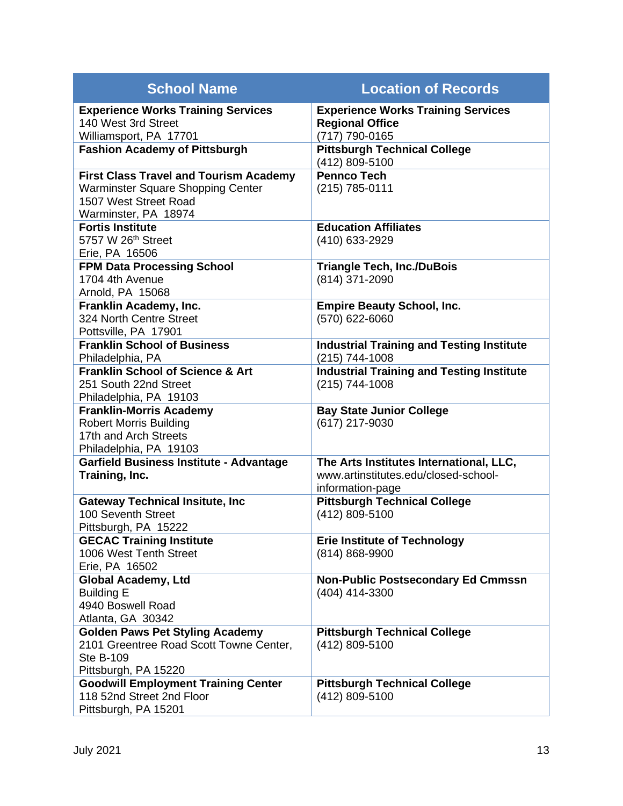| <b>School Name</b>                                               | <b>Location of Records</b>                                                      |
|------------------------------------------------------------------|---------------------------------------------------------------------------------|
| <b>Experience Works Training Services</b><br>140 West 3rd Street | <b>Experience Works Training Services</b><br><b>Regional Office</b>             |
| Williamsport, PA 17701                                           | (717) 790-0165                                                                  |
| <b>Fashion Academy of Pittsburgh</b>                             | <b>Pittsburgh Technical College</b><br>(412) 809-5100                           |
| <b>First Class Travel and Tourism Academy</b>                    | <b>Pennco Tech</b>                                                              |
| Warminster Square Shopping Center                                | (215) 785-0111                                                                  |
| 1507 West Street Road                                            |                                                                                 |
| Warminster, PA 18974                                             |                                                                                 |
| <b>Fortis Institute</b>                                          | <b>Education Affiliates</b>                                                     |
| 5757 W 26 <sup>th</sup> Street                                   | (410) 633-2929                                                                  |
| Erie, PA 16506                                                   |                                                                                 |
| <b>FPM Data Processing School</b><br>1704 4th Avenue             | <b>Triangle Tech, Inc./DuBois</b><br>(814) 371-2090                             |
| Arnold, PA 15068                                                 |                                                                                 |
| Franklin Academy, Inc.                                           | <b>Empire Beauty School, Inc.</b>                                               |
| 324 North Centre Street                                          | (570) 622-6060                                                                  |
| Pottsville, PA 17901                                             |                                                                                 |
| <b>Franklin School of Business</b>                               | <b>Industrial Training and Testing Institute</b>                                |
| Philadelphia, PA                                                 | (215) 744-1008                                                                  |
| <b>Franklin School of Science &amp; Art</b>                      | <b>Industrial Training and Testing Institute</b>                                |
| 251 South 22nd Street                                            | (215) 744-1008                                                                  |
| Philadelphia, PA 19103                                           |                                                                                 |
| <b>Franklin-Morris Academy</b>                                   | <b>Bay State Junior College</b>                                                 |
| <b>Robert Morris Building</b>                                    | (617) 217-9030                                                                  |
| 17th and Arch Streets                                            |                                                                                 |
| Philadelphia, PA 19103                                           |                                                                                 |
| <b>Garfield Business Institute - Advantage</b><br>Training, Inc. | The Arts Institutes International, LLC,<br>www.artinstitutes.edu/closed-school- |
|                                                                  | information-page                                                                |
| <b>Gateway Technical Insitute, Inc</b>                           | <b>Pittsburgh Technical College</b>                                             |
| 100 Seventh Street                                               | (412) 809-5100                                                                  |
| Pittsburgh, PA 15222                                             |                                                                                 |
| <b>GECAC Training Institute</b>                                  | <b>Erie Institute of Technology</b>                                             |
| 1006 West Tenth Street                                           | (814) 868-9900                                                                  |
| Erie, PA 16502                                                   |                                                                                 |
| <b>Global Academy, Ltd</b>                                       | <b>Non-Public Postsecondary Ed Cmmssn</b>                                       |
| <b>Building E</b>                                                | (404) 414-3300                                                                  |
| 4940 Boswell Road                                                |                                                                                 |
| Atlanta, GA 30342                                                |                                                                                 |
| <b>Golden Paws Pet Styling Academy</b>                           | <b>Pittsburgh Technical College</b>                                             |
| 2101 Greentree Road Scott Towne Center,<br><b>Ste B-109</b>      | (412) 809-5100                                                                  |
| Pittsburgh, PA 15220                                             |                                                                                 |
| <b>Goodwill Employment Training Center</b>                       | <b>Pittsburgh Technical College</b>                                             |
| 118 52nd Street 2nd Floor                                        | (412) 809-5100                                                                  |
| Pittsburgh, PA 15201                                             |                                                                                 |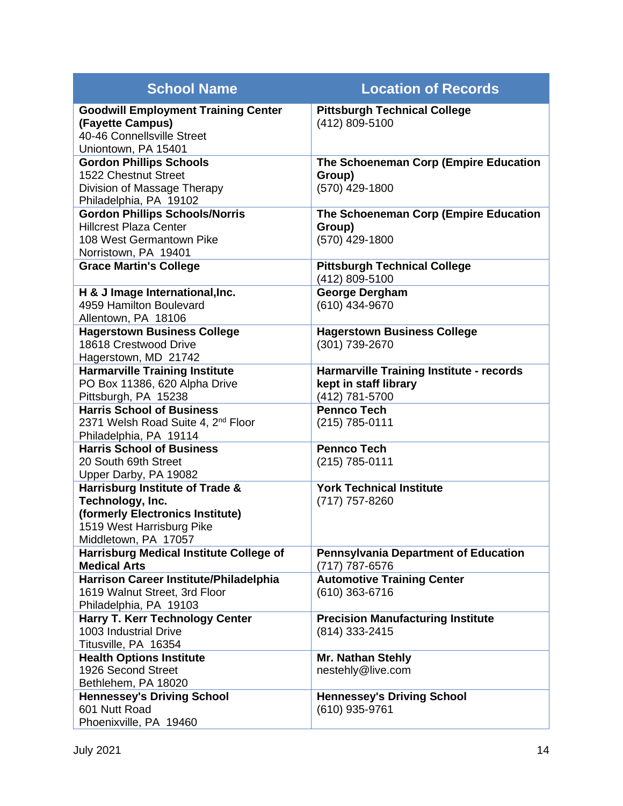| <b>School Name</b>                                                                                                                           | <b>Location of Records</b>                                                                 |
|----------------------------------------------------------------------------------------------------------------------------------------------|--------------------------------------------------------------------------------------------|
| <b>Goodwill Employment Training Center</b><br>(Fayette Campus)<br>40-46 Connellsville Street<br>Uniontown, PA 15401                          | <b>Pittsburgh Technical College</b><br>(412) 809-5100                                      |
| <b>Gordon Phillips Schools</b><br>1522 Chestnut Street<br>Division of Massage Therapy<br>Philadelphia, PA 19102                              | The Schoeneman Corp (Empire Education<br>Group)<br>(570) 429-1800                          |
| <b>Gordon Phillips Schools/Norris</b><br><b>Hillcrest Plaza Center</b><br>108 West Germantown Pike<br>Norristown, PA 19401                   | The Schoeneman Corp (Empire Education<br>Group)<br>(570) 429-1800                          |
| <b>Grace Martin's College</b>                                                                                                                | <b>Pittsburgh Technical College</b><br>(412) 809-5100                                      |
| H & J Image International, Inc.<br>4959 Hamilton Boulevard<br>Allentown, PA 18106                                                            | <b>George Dergham</b><br>(610) 434-9670                                                    |
| <b>Hagerstown Business College</b><br>18618 Crestwood Drive<br>Hagerstown, MD 21742                                                          | <b>Hagerstown Business College</b><br>(301) 739-2670                                       |
| <b>Harmarville Training Institute</b><br>PO Box 11386, 620 Alpha Drive<br>Pittsburgh, PA 15238                                               | <b>Harmarville Training Institute - records</b><br>kept in staff library<br>(412) 781-5700 |
| <b>Harris School of Business</b><br>2371 Welsh Road Suite 4, 2 <sup>nd</sup> Floor<br>Philadelphia, PA 19114                                 | <b>Pennco Tech</b><br>(215) 785-0111                                                       |
| <b>Harris School of Business</b><br>20 South 69th Street<br>Upper Darby, PA 19082                                                            | <b>Pennco Tech</b><br>(215) 785-0111                                                       |
| Harrisburg Institute of Trade &<br>Technology, Inc.<br>(formerly Electronics Institute)<br>1519 West Harrisburg Pike<br>Middletown, PA 17057 | <b>York Technical Institute</b><br>(717) 757-8260                                          |
| <b>Harrisburg Medical Institute College of</b><br><b>Medical Arts</b>                                                                        | <b>Pennsylvania Department of Education</b><br>(717) 787-6576                              |
| Harrison Career Institute/Philadelphia<br>1619 Walnut Street, 3rd Floor<br>Philadelphia, PA 19103                                            | <b>Automotive Training Center</b><br>(610) 363-6716                                        |
| <b>Harry T. Kerr Technology Center</b><br>1003 Industrial Drive<br>Titusville, PA 16354                                                      | <b>Precision Manufacturing Institute</b><br>(814) 333-2415                                 |
| <b>Health Options Institute</b><br>1926 Second Street<br>Bethlehem, PA 18020                                                                 | <b>Mr. Nathan Stehly</b><br>nestehly@live.com                                              |
| <b>Hennessey's Driving School</b><br>601 Nutt Road<br>Phoenixville, PA 19460                                                                 | <b>Hennessey's Driving School</b><br>(610) 935-9761                                        |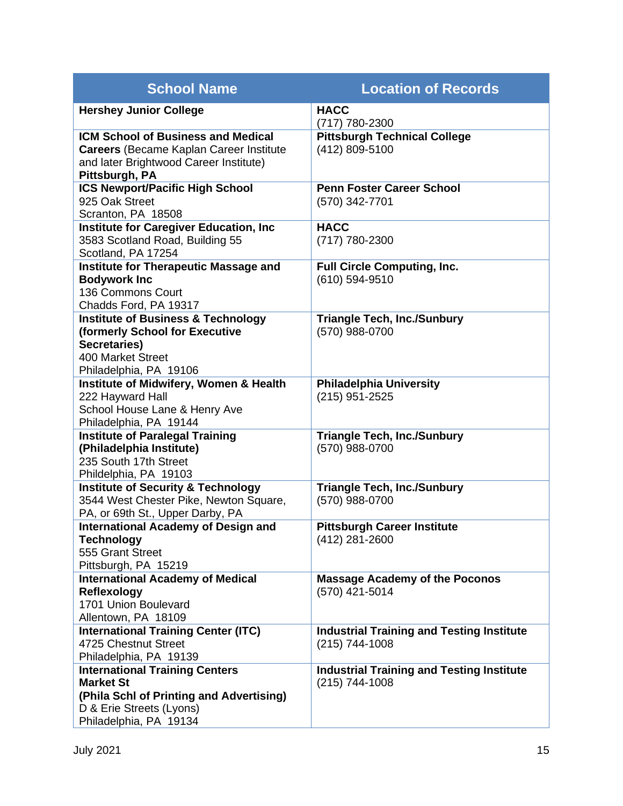| <b>School Name</b>                                                                                                                                                      | <b>Location of Records</b>                                           |
|-------------------------------------------------------------------------------------------------------------------------------------------------------------------------|----------------------------------------------------------------------|
| <b>Hershey Junior College</b>                                                                                                                                           | <b>HACC</b><br>(717) 780-2300                                        |
| <b>ICM School of Business and Medical</b><br><b>Careers</b> (Became Kaplan Career Institute<br>and later Brightwood Career Institute)<br>Pittsburgh, PA                 | <b>Pittsburgh Technical College</b><br>(412) 809-5100                |
| <b>ICS Newport/Pacific High School</b><br>925 Oak Street<br>Scranton, PA 18508                                                                                          | <b>Penn Foster Career School</b><br>(570) 342-7701                   |
| <b>Institute for Caregiver Education, Inc</b><br>3583 Scotland Road, Building 55<br>Scotland, PA 17254                                                                  | <b>HACC</b><br>(717) 780-2300                                        |
| <b>Institute for Therapeutic Massage and</b><br><b>Bodywork Inc</b><br>136 Commons Court                                                                                | <b>Full Circle Computing, Inc.</b><br>(610) 594-9510                 |
| Chadds Ford, PA 19317<br><b>Institute of Business &amp; Technology</b><br>(formerly School for Executive<br>Secretaries)<br>400 Market Street<br>Philadelphia, PA 19106 | <b>Triangle Tech, Inc./Sunbury</b><br>(570) 988-0700                 |
| <b>Institute of Midwifery, Women &amp; Health</b><br>222 Hayward Hall<br>School House Lane & Henry Ave<br>Philadelphia, PA 19144                                        | <b>Philadelphia University</b><br>(215) 951-2525                     |
| <b>Institute of Paralegal Training</b><br>(Philadelphia Institute)<br>235 South 17th Street<br>Phildelphia, PA 19103                                                    | <b>Triangle Tech, Inc./Sunbury</b><br>(570) 988-0700                 |
| <b>Institute of Security &amp; Technology</b><br>3544 West Chester Pike, Newton Square,<br>PA, or 69th St., Upper Darby, PA                                             | <b>Triangle Tech, Inc./Sunbury</b><br>(570) 988-0700                 |
| <b>International Academy of Design and</b><br><b>Technology</b><br>555 Grant Street<br>Pittsburgh, PA 15219                                                             | <b>Pittsburgh Career Institute</b><br>(412) 281-2600                 |
| <b>International Academy of Medical</b><br>Reflexology<br>1701 Union Boulevard<br>Allentown, PA 18109                                                                   | <b>Massage Academy of the Poconos</b><br>(570) 421-5014              |
| <b>International Training Center (ITC)</b><br>4725 Chestnut Street<br>Philadelphia, PA 19139                                                                            | <b>Industrial Training and Testing Institute</b><br>(215) 744-1008   |
| <b>International Training Centers</b><br><b>Market St</b><br>(Phila Schl of Printing and Advertising)<br>D & Erie Streets (Lyons)<br>Philadelphia, PA 19134             | <b>Industrial Training and Testing Institute</b><br>$(215)$ 744-1008 |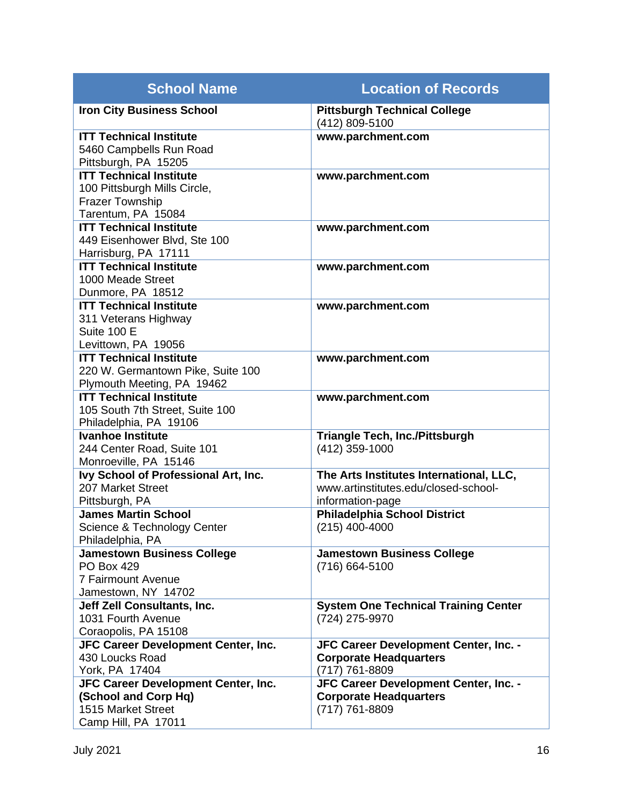| <b>School Name</b>                                                                                             | <b>Location of Records</b>                                                                          |
|----------------------------------------------------------------------------------------------------------------|-----------------------------------------------------------------------------------------------------|
| <b>Iron City Business School</b>                                                                               | <b>Pittsburgh Technical College</b><br>(412) 809-5100                                               |
| <b>ITT Technical Institute</b><br>5460 Campbells Run Road<br>Pittsburgh, PA 15205                              | www.parchment.com                                                                                   |
| <b>ITT Technical Institute</b><br>100 Pittsburgh Mills Circle,<br><b>Frazer Township</b><br>Tarentum, PA 15084 | www.parchment.com                                                                                   |
| <b>ITT Technical Institute</b><br>449 Eisenhower Blvd, Ste 100<br>Harrisburg, PA 17111                         | www.parchment.com                                                                                   |
| <b>ITT Technical Institute</b><br>1000 Meade Street<br>Dunmore, PA 18512                                       | www.parchment.com                                                                                   |
| <b>ITT Technical Institute</b><br>311 Veterans Highway<br>Suite 100 E<br>Levittown, PA 19056                   | www.parchment.com                                                                                   |
| <b>ITT Technical Institute</b><br>220 W. Germantown Pike, Suite 100<br>Plymouth Meeting, PA 19462              | www.parchment.com                                                                                   |
| <b>ITT Technical Institute</b><br>105 South 7th Street, Suite 100<br>Philadelphia, PA 19106                    | www.parchment.com                                                                                   |
| <b>Ivanhoe Institute</b><br>244 Center Road, Suite 101<br>Monroeville, PA 15146                                | <b>Triangle Tech, Inc./Pittsburgh</b><br>(412) 359-1000                                             |
| Ivy School of Professional Art, Inc.<br>207 Market Street<br>Pittsburgh, PA                                    | The Arts Institutes International, LLC,<br>www.artinstitutes.edu/closed-school-<br>information-page |
| <b>James Martin School</b><br>Science & Technology Center<br>Philadelphia, PA                                  | <b>Philadelphia School District</b><br>(215) 400-4000                                               |
| <b>Jamestown Business College</b><br><b>PO Box 429</b><br><b>7 Fairmount Avenue</b><br>Jamestown, NY 14702     | <b>Jamestown Business College</b><br>(716) 664-5100                                                 |
| Jeff Zell Consultants, Inc.<br>1031 Fourth Avenue<br>Coraopolis, PA 15108                                      | <b>System One Technical Training Center</b><br>(724) 275-9970                                       |
| JFC Career Development Center, Inc.<br>430 Loucks Road<br>York, PA 17404                                       | JFC Career Development Center, Inc. -<br><b>Corporate Headquarters</b><br>(717) 761-8809            |
| JFC Career Development Center, Inc.<br>(School and Corp Hq)<br>1515 Market Street<br>Camp Hill, PA 17011       | JFC Career Development Center, Inc. -<br><b>Corporate Headquarters</b><br>(717) 761-8809            |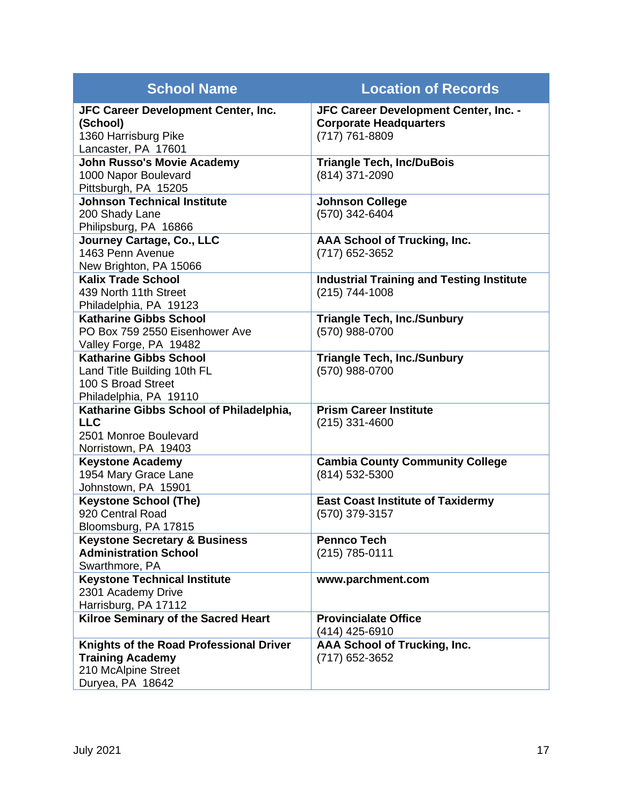| <b>School Name</b>                                                                                            | <b>Location of Records</b>                                                               |
|---------------------------------------------------------------------------------------------------------------|------------------------------------------------------------------------------------------|
| JFC Career Development Center, Inc.<br>(School)<br>1360 Harrisburg Pike<br>Lancaster, PA 17601                | JFC Career Development Center, Inc. -<br><b>Corporate Headquarters</b><br>(717) 761-8809 |
| <b>John Russo's Movie Academy</b><br>1000 Napor Boulevard<br>Pittsburgh, PA 15205                             | <b>Triangle Tech, Inc/DuBois</b><br>(814) 371-2090                                       |
| <b>Johnson Technical Institute</b><br>200 Shady Lane<br>Philipsburg, PA 16866                                 | <b>Johnson College</b><br>(570) 342-6404                                                 |
| Journey Cartage, Co., LLC<br>1463 Penn Avenue<br>New Brighton, PA 15066                                       | <b>AAA School of Trucking, Inc.</b><br>(717) 652-3652                                    |
| <b>Kalix Trade School</b><br>439 North 11th Street<br>Philadelphia, PA 19123                                  | <b>Industrial Training and Testing Institute</b><br>$(215)$ 744-1008                     |
| <b>Katharine Gibbs School</b><br>PO Box 759 2550 Eisenhower Ave<br>Valley Forge, PA 19482                     | <b>Triangle Tech, Inc./Sunbury</b><br>(570) 988-0700                                     |
| <b>Katharine Gibbs School</b><br>Land Title Building 10th FL<br>100 S Broad Street<br>Philadelphia, PA 19110  | <b>Triangle Tech, Inc./Sunbury</b><br>(570) 988-0700                                     |
| Katharine Gibbs School of Philadelphia,<br><b>LLC</b><br>2501 Monroe Boulevard<br>Norristown, PA 19403        | <b>Prism Career Institute</b><br>$(215)$ 331-4600                                        |
| <b>Keystone Academy</b><br>1954 Mary Grace Lane<br>Johnstown, PA 15901                                        | <b>Cambia County Community College</b><br>(814) 532-5300                                 |
| <b>Keystone School (The)</b><br>920 Central Road<br>Bloomsburg, PA 17815                                      | <b>East Coast Institute of Taxidermy</b><br>(570) 379-3157                               |
| <b>Keystone Secretary &amp; Business</b><br><b>Administration School</b><br>Swarthmore, PA                    | <b>Pennco Tech</b><br>(215) 785-0111                                                     |
| <b>Keystone Technical Institute</b><br>2301 Academy Drive<br>Harrisburg, PA 17112                             | www.parchment.com                                                                        |
| <b>Kilroe Seminary of the Sacred Heart</b>                                                                    | <b>Provincialate Office</b><br>(414) 425-6910                                            |
| Knights of the Road Professional Driver<br><b>Training Academy</b><br>210 McAlpine Street<br>Duryea, PA 18642 | <b>AAA School of Trucking, Inc.</b><br>(717) 652-3652                                    |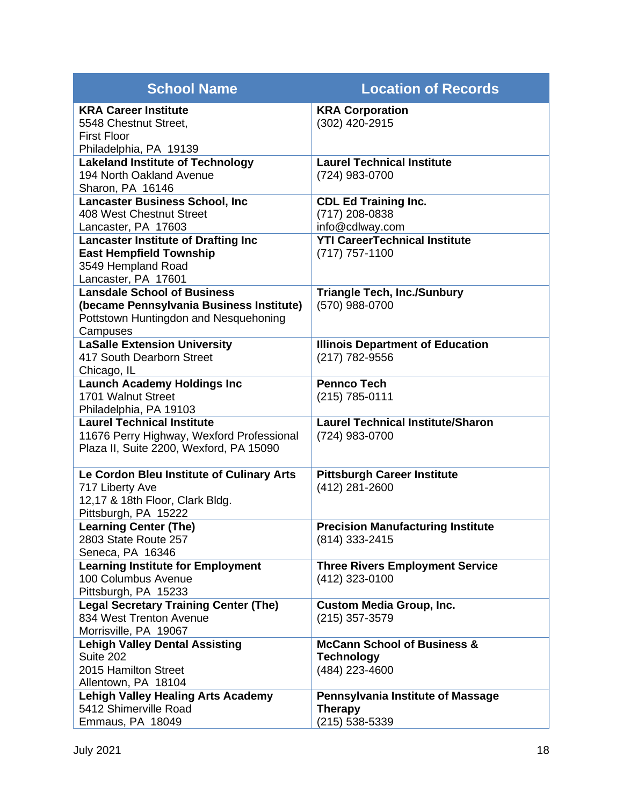| <b>School Name</b>                                                                                                                  | <b>Location of Records</b>                                                    |
|-------------------------------------------------------------------------------------------------------------------------------------|-------------------------------------------------------------------------------|
| <b>KRA Career Institute</b><br>5548 Chestnut Street,<br><b>First Floor</b><br>Philadelphia, PA 19139                                | <b>KRA Corporation</b><br>(302) 420-2915                                      |
| <b>Lakeland Institute of Technology</b><br>194 North Oakland Avenue<br>Sharon, PA 16146                                             | <b>Laurel Technical Institute</b><br>(724) 983-0700                           |
| <b>Lancaster Business School, Inc</b><br>408 West Chestnut Street<br>Lancaster, PA 17603                                            | <b>CDL Ed Training Inc.</b><br>(717) 208-0838<br>info@cdlway.com              |
| <b>Lancaster Institute of Drafting Inc</b><br><b>East Hempfield Township</b><br>3549 Hempland Road<br>Lancaster, PA 17601           | <b>YTI CareerTechnical Institute</b><br>$(717)$ 757-1100                      |
| <b>Lansdale School of Business</b><br>(became Pennsylvania Business Institute)<br>Pottstown Huntingdon and Nesquehoning<br>Campuses | <b>Triangle Tech, Inc./Sunbury</b><br>(570) 988-0700                          |
| <b>LaSalle Extension University</b><br>417 South Dearborn Street<br>Chicago, IL                                                     | <b>Illinois Department of Education</b><br>(217) 782-9556                     |
| <b>Launch Academy Holdings Inc</b><br>1701 Walnut Street<br>Philadelphia, PA 19103                                                  | <b>Pennco Tech</b><br>(215) 785-0111                                          |
| <b>Laurel Technical Institute</b><br>11676 Perry Highway, Wexford Professional<br>Plaza II, Suite 2200, Wexford, PA 15090           | <b>Laurel Technical Institute/Sharon</b><br>(724) 983-0700                    |
| Le Cordon Bleu Institute of Culinary Arts<br>717 Liberty Ave<br>12,17 & 18th Floor, Clark Bldg.<br>Pittsburgh, PA 15222             | <b>Pittsburgh Career Institute</b><br>(412) 281-2600                          |
| <b>Learning Center (The)</b><br>2803 State Route 257<br>Seneca, PA 16346                                                            | <b>Precision Manufacturing Institute</b><br>(814) 333-2415                    |
| <b>Learning Institute for Employment</b><br>100 Columbus Avenue<br>Pittsburgh, PA 15233                                             | <b>Three Rivers Employment Service</b><br>(412) 323-0100                      |
| <b>Legal Secretary Training Center (The)</b><br>834 West Trenton Avenue<br>Morrisville, PA 19067                                    | <b>Custom Media Group, Inc.</b><br>(215) 357-3579                             |
| <b>Lehigh Valley Dental Assisting</b><br>Suite 202<br>2015 Hamilton Street<br>Allentown, PA 18104                                   | <b>McCann School of Business &amp;</b><br><b>Technology</b><br>(484) 223-4600 |
| <b>Lehigh Valley Healing Arts Academy</b><br>5412 Shimerville Road<br>Emmaus, PA 18049                                              | Pennsylvania Institute of Massage<br><b>Therapy</b><br>(215) 538-5339         |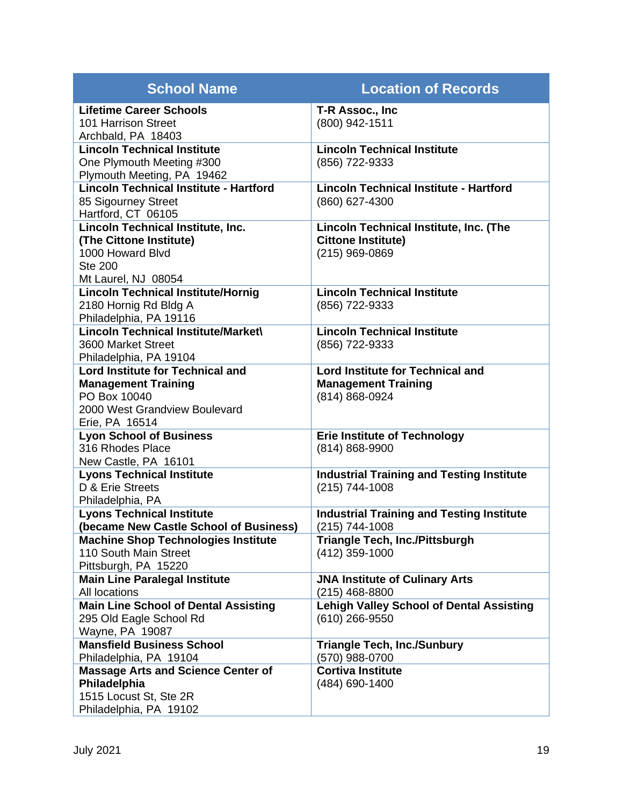| <b>School Name</b>                              | <b>Location of Records</b>                           |
|-------------------------------------------------|------------------------------------------------------|
| <b>Lifetime Career Schools</b>                  | T-R Assoc., Inc                                      |
| 101 Harrison Street                             | (800) 942-1511                                       |
| Archbald, PA 18403                              |                                                      |
| <b>Lincoln Technical Institute</b>              | <b>Lincoln Technical Institute</b>                   |
| One Plymouth Meeting #300                       | (856) 722-9333                                       |
| Plymouth Meeting, PA 19462                      |                                                      |
| <b>Lincoln Technical Institute - Hartford</b>   | <b>Lincoln Technical Institute - Hartford</b>        |
| 85 Sigourney Street                             | (860) 627-4300                                       |
| Hartford, CT 06105                              |                                                      |
| Lincoln Technical Institute, Inc.               | Lincoln Technical Institute, Inc. (The               |
| (The Cittone Institute)                         | <b>Cittone Institute)</b>                            |
| 1000 Howard Blvd                                | (215) 969-0869                                       |
| <b>Ste 200</b>                                  |                                                      |
| Mt Laurel, NJ 08054                             |                                                      |
| <b>Lincoln Technical Institute/Hornig</b>       | <b>Lincoln Technical Institute</b><br>(856) 722-9333 |
| 2180 Hornig Rd Bldg A<br>Philadelphia, PA 19116 |                                                      |
| <b>Lincoln Technical Institute/Market\</b>      | <b>Lincoln Technical Institute</b>                   |
| 3600 Market Street                              | (856) 722-9333                                       |
| Philadelphia, PA 19104                          |                                                      |
| <b>Lord Institute for Technical and</b>         | <b>Lord Institute for Technical and</b>              |
| <b>Management Training</b>                      | <b>Management Training</b>                           |
| PO Box 10040                                    | (814) 868-0924                                       |
| 2000 West Grandview Boulevard                   |                                                      |
| Erie, PA 16514                                  |                                                      |
| <b>Lyon School of Business</b>                  | <b>Erie Institute of Technology</b>                  |
| 316 Rhodes Place                                | (814) 868-9900                                       |
| New Castle, PA 16101                            |                                                      |
| <b>Lyons Technical Institute</b>                | <b>Industrial Training and Testing Institute</b>     |
| D & Erie Streets                                | (215) 744-1008                                       |
| Philadelphia, PA                                |                                                      |
| <b>Lyons Technical Institute</b>                | <b>Industrial Training and Testing Institute</b>     |
| (became New Castle School of Business)          | (215) 744-1008                                       |
| <b>Machine Shop Technologies Institute</b>      | <b>Triangle Tech, Inc./Pittsburgh</b>                |
| 110 South Main Street                           | (412) 359-1000                                       |
| Pittsburgh, PA 15220                            |                                                      |
| <b>Main Line Paralegal Institute</b>            | <b>JNA Institute of Culinary Arts</b>                |
| All locations                                   | (215) 468-8800                                       |
| <b>Main Line School of Dental Assisting</b>     | <b>Lehigh Valley School of Dental Assisting</b>      |
| 295 Old Eagle School Rd<br>Wayne, PA 19087      | (610) 266-9550                                       |
| <b>Mansfield Business School</b>                | <b>Triangle Tech, Inc./Sunbury</b>                   |
| Philadelphia, PA 19104                          | (570) 988-0700                                       |
| <b>Massage Arts and Science Center of</b>       | <b>Cortiva Institute</b>                             |
| Philadelphia                                    | (484) 690-1400                                       |
| 1515 Locust St, Ste 2R                          |                                                      |
| Philadelphia, PA 19102                          |                                                      |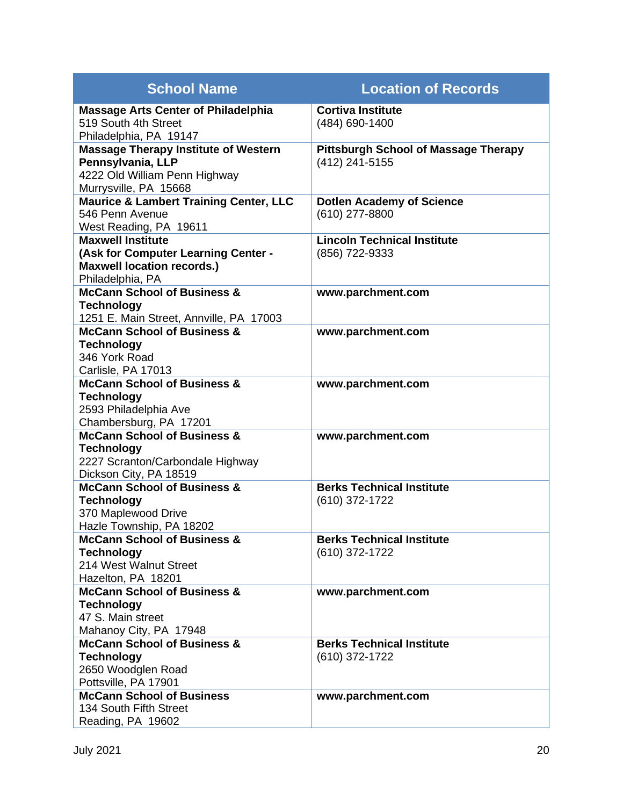| <b>School Name</b>                                                                                                         | <b>Location of Records</b>                                    |
|----------------------------------------------------------------------------------------------------------------------------|---------------------------------------------------------------|
| <b>Massage Arts Center of Philadelphia</b><br>519 South 4th Street<br>Philadelphia, PA 19147                               | <b>Cortiva Institute</b><br>(484) 690-1400                    |
| <b>Massage Therapy Institute of Western</b><br>Pennsylvania, LLP<br>4222 Old William Penn Highway<br>Murrysville, PA 15668 | <b>Pittsburgh School of Massage Therapy</b><br>(412) 241-5155 |
| <b>Maurice &amp; Lambert Training Center, LLC</b><br>546 Penn Avenue<br>West Reading, PA 19611                             | <b>Dotlen Academy of Science</b><br>(610) 277-8800            |
| <b>Maxwell Institute</b><br>(Ask for Computer Learning Center -<br><b>Maxwell location records.)</b><br>Philadelphia, PA   | <b>Lincoln Technical Institute</b><br>(856) 722-9333          |
| <b>McCann School of Business &amp;</b><br><b>Technology</b><br>1251 E. Main Street, Annville, PA 17003                     | www.parchment.com                                             |
| McCann School of Business &<br><b>Technology</b><br>346 York Road<br>Carlisle, PA 17013                                    | www.parchment.com                                             |
| <b>McCann School of Business &amp;</b><br><b>Technology</b><br>2593 Philadelphia Ave<br>Chambersburg, PA 17201             | www.parchment.com                                             |
| <b>McCann School of Business &amp;</b><br><b>Technology</b><br>2227 Scranton/Carbondale Highway<br>Dickson City, PA 18519  | www.parchment.com                                             |
| <b>McCann School of Business &amp;</b><br><b>Technology</b><br>370 Maplewood Drive<br>Hazle Township, PA 18202             | <b>Berks Technical Institute</b><br>(610) 372-1722            |
| <b>McCann School of Business &amp;</b><br><b>Technology</b><br>214 West Walnut Street<br>Hazelton, PA 18201                | <b>Berks Technical Institute</b><br>(610) 372-1722            |
| <b>McCann School of Business &amp;</b><br><b>Technology</b><br>47 S. Main street<br>Mahanoy City, PA 17948                 | www.parchment.com                                             |
| <b>McCann School of Business &amp;</b><br><b>Technology</b><br>2650 Woodglen Road<br>Pottsville, PA 17901                  | <b>Berks Technical Institute</b><br>(610) 372-1722            |
| <b>McCann School of Business</b><br>134 South Fifth Street<br>Reading, PA 19602                                            | www.parchment.com                                             |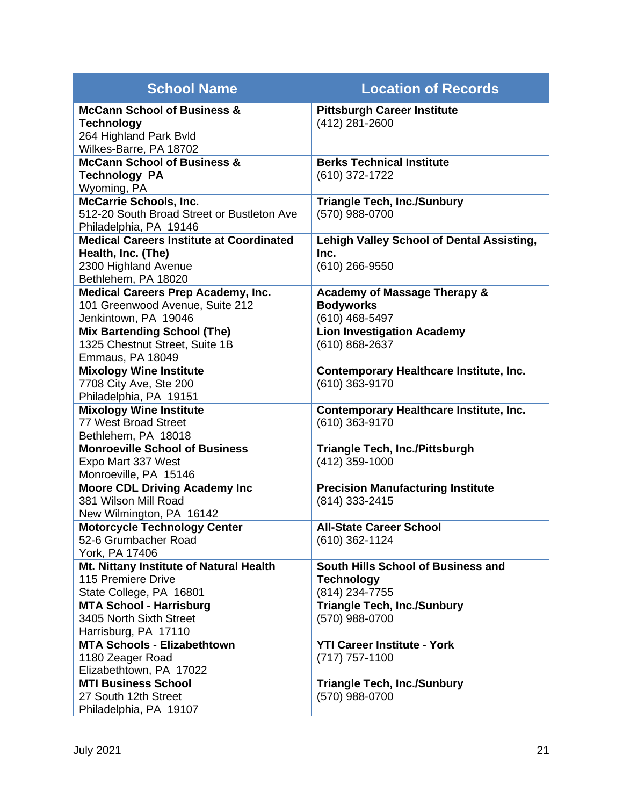| <b>School Name</b>                                                                                                   | <b>Location of Records</b>                                                    |
|----------------------------------------------------------------------------------------------------------------------|-------------------------------------------------------------------------------|
| <b>McCann School of Business &amp;</b><br><b>Technology</b><br>264 Highland Park Bvld<br>Wilkes-Barre, PA 18702      | <b>Pittsburgh Career Institute</b><br>(412) 281-2600                          |
| <b>McCann School of Business &amp;</b><br><b>Technology PA</b><br>Wyoming, PA                                        | <b>Berks Technical Institute</b><br>(610) 372-1722                            |
| <b>McCarrie Schools, Inc.</b><br>512-20 South Broad Street or Bustleton Ave<br>Philadelphia, PA 19146                | <b>Triangle Tech, Inc./Sunbury</b><br>(570) 988-0700                          |
| <b>Medical Careers Institute at Coordinated</b><br>Health, Inc. (The)<br>2300 Highland Avenue<br>Bethlehem, PA 18020 | <b>Lehigh Valley School of Dental Assisting,</b><br>Inc.<br>(610) 266-9550    |
| <b>Medical Careers Prep Academy, Inc.</b><br>101 Greenwood Avenue, Suite 212<br>Jenkintown, PA 19046                 | <b>Academy of Massage Therapy &amp;</b><br><b>Bodyworks</b><br>(610) 468-5497 |
| <b>Mix Bartending School (The)</b><br>1325 Chestnut Street, Suite 1B<br>Emmaus, PA 18049                             | <b>Lion Investigation Academy</b><br>(610) 868-2637                           |
| <b>Mixology Wine Institute</b><br>7708 City Ave, Ste 200<br>Philadelphia, PA 19151                                   | Contemporary Healthcare Institute, Inc.<br>(610) 363-9170                     |
| <b>Mixology Wine Institute</b><br>77 West Broad Street<br>Bethlehem, PA 18018                                        | Contemporary Healthcare Institute, Inc.<br>(610) 363-9170                     |
| <b>Monroeville School of Business</b><br>Expo Mart 337 West<br>Monroeville, PA 15146                                 | <b>Triangle Tech, Inc./Pittsburgh</b><br>(412) 359-1000                       |
| <b>Moore CDL Driving Academy Inc</b><br>381 Wilson Mill Road<br>New Wilmington, PA 16142                             | <b>Precision Manufacturing Institute</b><br>(814) 333-2415                    |
| <b>Motorcycle Technology Center</b><br>52-6 Grumbacher Road<br>York, PA 17406                                        | <b>All-State Career School</b><br>(610) 362-1124                              |
| Mt. Nittany Institute of Natural Health<br>115 Premiere Drive<br>State College, PA 16801                             | South Hills School of Business and<br><b>Technology</b><br>(814) 234-7755     |
| <b>MTA School - Harrisburg</b><br>3405 North Sixth Street<br>Harrisburg, PA 17110                                    | <b>Triangle Tech, Inc./Sunbury</b><br>(570) 988-0700                          |
| <b>MTA Schools - Elizabethtown</b><br>1180 Zeager Road<br>Elizabethtown, PA 17022                                    | <b>YTI Career Institute - York</b><br>$(717)$ 757-1100                        |
| <b>MTI Business School</b><br>27 South 12th Street<br>Philadelphia, PA 19107                                         | <b>Triangle Tech, Inc./Sunbury</b><br>(570) 988-0700                          |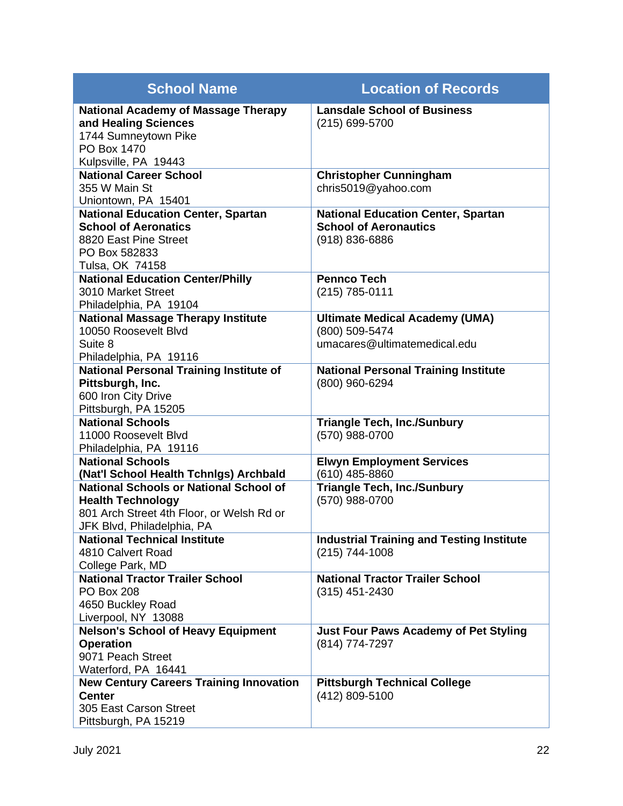| <b>School Name</b>                                                                                                                                   | <b>Location of Records</b>                                                                  |
|------------------------------------------------------------------------------------------------------------------------------------------------------|---------------------------------------------------------------------------------------------|
| <b>National Academy of Massage Therapy</b><br>and Healing Sciences<br>1744 Sumneytown Pike<br>PO Box 1470<br>Kulpsville, PA 19443                    | <b>Lansdale School of Business</b><br>(215) 699-5700                                        |
| <b>National Career School</b><br>355 W Main St<br>Uniontown, PA 15401                                                                                | <b>Christopher Cunningham</b><br>chris5019@yahoo.com                                        |
| <b>National Education Center, Spartan</b><br><b>School of Aeronatics</b><br>8820 East Pine Street<br>PO Box 582833<br>Tulsa, OK 74158                | <b>National Education Center, Spartan</b><br><b>School of Aeronautics</b><br>(918) 836-6886 |
| <b>National Education Center/Philly</b><br>3010 Market Street<br>Philadelphia, PA 19104                                                              | <b>Pennco Tech</b><br>(215) 785-0111                                                        |
| <b>National Massage Therapy Institute</b><br>10050 Roosevelt Blvd<br>Suite 8<br>Philadelphia, PA 19116                                               | <b>Ultimate Medical Academy (UMA)</b><br>(800) 509-5474<br>umacares@ultimatemedical.edu     |
| National Personal Training Institute of<br>Pittsburgh, Inc.<br>600 Iron City Drive<br>Pittsburgh, PA 15205                                           | <b>National Personal Training Institute</b><br>(800) 960-6294                               |
| <b>National Schools</b><br>11000 Roosevelt Blvd<br>Philadelphia, PA 19116                                                                            | <b>Triangle Tech, Inc./Sunbury</b><br>(570) 988-0700                                        |
| <b>National Schools</b><br>(Nat'l School Health Tchnigs) Archbald                                                                                    | <b>Elwyn Employment Services</b><br>(610) 485-8860                                          |
| <b>National Schools or National School of</b><br><b>Health Technology</b><br>801 Arch Street 4th Floor, or Welsh Rd or<br>JFK Blvd, Philadelphia, PA | <b>Triangle Tech, Inc./Sunbury</b><br>(570) 988-0700                                        |
| <b>National Technical Institute</b><br>4810 Calvert Road<br>College Park, MD                                                                         | <b>Industrial Training and Testing Institute</b><br>(215) 744-1008                          |
| <b>National Tractor Trailer School</b><br><b>PO Box 208</b><br>4650 Buckley Road<br>Liverpool, NY 13088                                              | <b>National Tractor Trailer School</b><br>$(315)$ 451-2430                                  |
| <b>Nelson's School of Heavy Equipment</b><br><b>Operation</b><br>9071 Peach Street<br>Waterford, PA 16441                                            | <b>Just Four Paws Academy of Pet Styling</b><br>(814) 774-7297                              |
| <b>New Century Careers Training Innovation</b><br><b>Center</b><br>305 East Carson Street<br>Pittsburgh, PA 15219                                    | <b>Pittsburgh Technical College</b><br>(412) 809-5100                                       |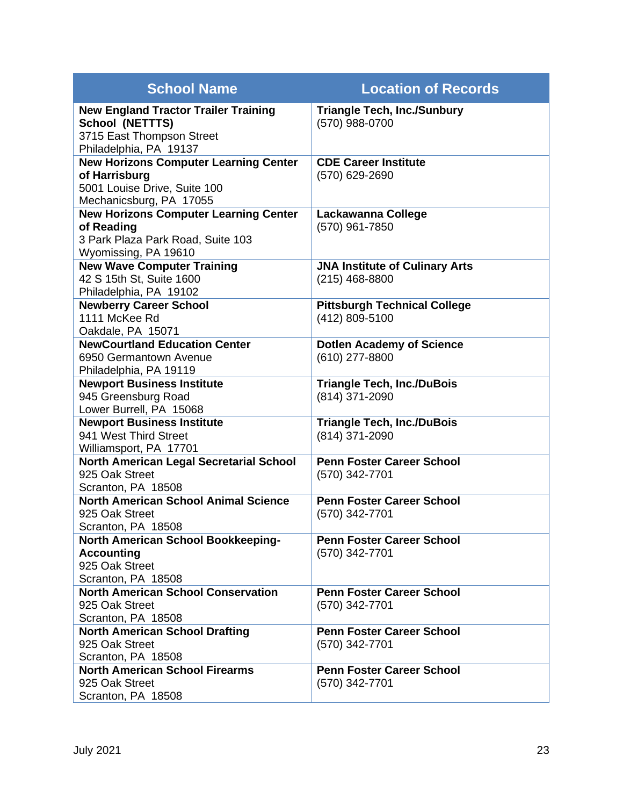| <b>School Name</b>                                                                                                           | <b>Location of Records</b>                           |
|------------------------------------------------------------------------------------------------------------------------------|------------------------------------------------------|
| <b>New England Tractor Trailer Training</b><br><b>School (NETTTS)</b><br>3715 East Thompson Street<br>Philadelphia, PA 19137 | <b>Triangle Tech, Inc./Sunbury</b><br>(570) 988-0700 |
| <b>New Horizons Computer Learning Center</b>                                                                                 | <b>CDE Career Institute</b>                          |
| of Harrisburg                                                                                                                | (570) 629-2690                                       |
| 5001 Louise Drive, Suite 100                                                                                                 |                                                      |
| Mechanicsburg, PA 17055                                                                                                      |                                                      |
| <b>New Horizons Computer Learning Center</b>                                                                                 | Lackawanna College                                   |
| of Reading                                                                                                                   | (570) 961-7850                                       |
| 3 Park Plaza Park Road, Suite 103                                                                                            |                                                      |
| Wyomissing, PA 19610                                                                                                         |                                                      |
| <b>New Wave Computer Training</b>                                                                                            | <b>JNA Institute of Culinary Arts</b>                |
| 42 S 15th St, Suite 1600                                                                                                     | $(215)$ 468-8800                                     |
| Philadelphia, PA 19102                                                                                                       |                                                      |
| <b>Newberry Career School</b>                                                                                                | <b>Pittsburgh Technical College</b>                  |
| 1111 McKee Rd                                                                                                                | (412) 809-5100                                       |
| Oakdale, PA 15071                                                                                                            |                                                      |
| <b>NewCourtland Education Center</b>                                                                                         | <b>Dotlen Academy of Science</b>                     |
| 6950 Germantown Avenue                                                                                                       | (610) 277-8800                                       |
| Philadelphia, PA 19119                                                                                                       |                                                      |
| <b>Newport Business Institute</b><br>945 Greensburg Road                                                                     | <b>Triangle Tech, Inc./DuBois</b><br>(814) 371-2090  |
| Lower Burrell, PA 15068                                                                                                      |                                                      |
| <b>Newport Business Institute</b>                                                                                            | <b>Triangle Tech, Inc./DuBois</b>                    |
| 941 West Third Street                                                                                                        | (814) 371-2090                                       |
| Williamsport, PA 17701                                                                                                       |                                                      |
| <b>North American Legal Secretarial School</b>                                                                               | <b>Penn Foster Career School</b>                     |
| 925 Oak Street                                                                                                               | (570) 342-7701                                       |
| Scranton, PA 18508                                                                                                           |                                                      |
| <b>North American School Animal Science</b>                                                                                  | <b>Penn Foster Career School</b>                     |
| 925 Oak Street                                                                                                               | (570) 342-7701                                       |
| Scranton, PA 18508                                                                                                           |                                                      |
| <b>North American School Bookkeeping-</b>                                                                                    | <b>Penn Foster Career School</b>                     |
| <b>Accounting</b>                                                                                                            | (570) 342-7701                                       |
| 925 Oak Street                                                                                                               |                                                      |
| Scranton, PA 18508                                                                                                           |                                                      |
| <b>North American School Conservation</b>                                                                                    | <b>Penn Foster Career School</b>                     |
| 925 Oak Street                                                                                                               | (570) 342-7701                                       |
| Scranton, PA 18508                                                                                                           |                                                      |
| <b>North American School Drafting</b>                                                                                        | <b>Penn Foster Career School</b>                     |
| 925 Oak Street                                                                                                               | (570) 342-7701                                       |
| Scranton, PA 18508                                                                                                           |                                                      |
| <b>North American School Firearms</b>                                                                                        | <b>Penn Foster Career School</b>                     |
| 925 Oak Street                                                                                                               | (570) 342-7701                                       |
| Scranton, PA 18508                                                                                                           |                                                      |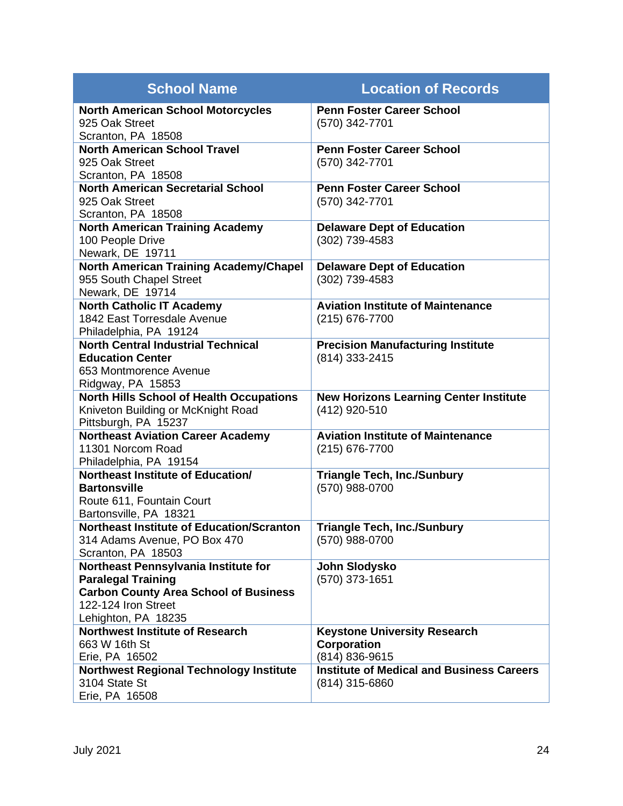| <b>School Name</b>                                                                                                                                              | <b>Location of Records</b>                                                  |
|-----------------------------------------------------------------------------------------------------------------------------------------------------------------|-----------------------------------------------------------------------------|
| <b>North American School Motorcycles</b><br>925 Oak Street<br>Scranton, PA 18508                                                                                | <b>Penn Foster Career School</b><br>(570) 342-7701                          |
| <b>North American School Travel</b><br>925 Oak Street<br>Scranton, PA 18508                                                                                     | <b>Penn Foster Career School</b><br>(570) 342-7701                          |
| <b>North American Secretarial School</b><br>925 Oak Street<br>Scranton, PA 18508                                                                                | <b>Penn Foster Career School</b><br>(570) 342-7701                          |
| <b>North American Training Academy</b><br>100 People Drive<br>Newark, DE 19711                                                                                  | <b>Delaware Dept of Education</b><br>(302) 739-4583                         |
| North American Training Academy/Chapel<br>955 South Chapel Street<br>Newark, DE 19714                                                                           | <b>Delaware Dept of Education</b><br>(302) 739-4583                         |
| <b>North Catholic IT Academy</b><br>1842 East Torresdale Avenue<br>Philadelphia, PA 19124                                                                       | <b>Aviation Institute of Maintenance</b><br>(215) 676-7700                  |
| <b>North Central Industrial Technical</b><br><b>Education Center</b><br>653 Montmorence Avenue<br>Ridgway, PA 15853                                             | <b>Precision Manufacturing Institute</b><br>(814) 333-2415                  |
| <b>North Hills School of Health Occupations</b><br>Kniveton Building or McKnight Road<br>Pittsburgh, PA 15237                                                   | <b>New Horizons Learning Center Institute</b><br>(412) 920-510              |
| <b>Northeast Aviation Career Academy</b><br>11301 Norcom Road<br>Philadelphia, PA 19154                                                                         | <b>Aviation Institute of Maintenance</b><br>(215) 676-7700                  |
| Northeast Institute of Education/<br><b>Bartonsville</b><br>Route 611, Fountain Court<br>Bartonsville, PA 18321                                                 | <b>Triangle Tech, Inc./Sunbury</b><br>(570) 988-0700                        |
| Northeast Institute of Education/Scranton<br>314 Adams Avenue, PO Box 470<br>Scranton, PA 18503                                                                 | <b>Triangle Tech, Inc./Sunbury</b><br>(570) 988-0700                        |
| Northeast Pennsylvania Institute for<br><b>Paralegal Training</b><br><b>Carbon County Area School of Business</b><br>122-124 Iron Street<br>Lehighton, PA 18235 | John Slodysko<br>(570) 373-1651                                             |
| <b>Northwest Institute of Research</b><br>663 W 16th St<br>Erie, PA 16502                                                                                       | <b>Keystone University Research</b><br><b>Corporation</b><br>(814) 836-9615 |
| <b>Northwest Regional Technology Institute</b><br>3104 State St<br>Erie, PA 16508                                                                               | <b>Institute of Medical and Business Careers</b><br>(814) 315-6860          |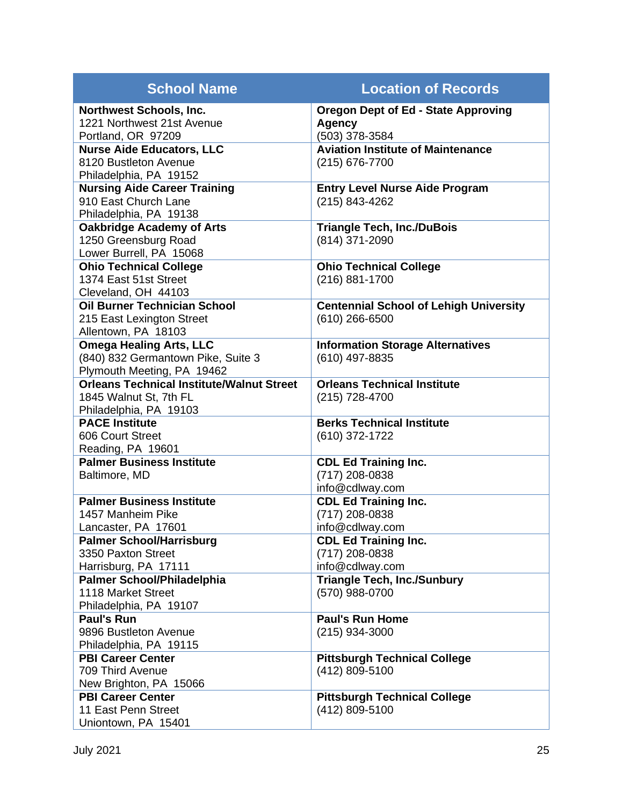| <b>School Name</b>                                                                                   | <b>Location of Records</b>                                                    |
|------------------------------------------------------------------------------------------------------|-------------------------------------------------------------------------------|
| <b>Northwest Schools, Inc.</b><br>1221 Northwest 21st Avenue<br>Portland, OR 97209                   | <b>Oregon Dept of Ed - State Approving</b><br><b>Agency</b><br>(503) 378-3584 |
| <b>Nurse Aide Educators, LLC</b><br>8120 Bustleton Avenue<br>Philadelphia, PA 19152                  | <b>Aviation Institute of Maintenance</b><br>(215) 676-7700                    |
| <b>Nursing Aide Career Training</b><br>910 East Church Lane<br>Philadelphia, PA 19138                | <b>Entry Level Nurse Aide Program</b><br>(215) 843-4262                       |
| <b>Oakbridge Academy of Arts</b><br>1250 Greensburg Road<br>Lower Burrell, PA 15068                  | <b>Triangle Tech, Inc./DuBois</b><br>(814) 371-2090                           |
| <b>Ohio Technical College</b><br>1374 East 51st Street<br>Cleveland, OH 44103                        | <b>Ohio Technical College</b><br>(216) 881-1700                               |
| <b>Oil Burner Technician School</b><br>215 East Lexington Street<br>Allentown, PA 18103              | <b>Centennial School of Lehigh University</b><br>$(610)$ 266-6500             |
| <b>Omega Healing Arts, LLC</b><br>(840) 832 Germantown Pike, Suite 3<br>Plymouth Meeting, PA 19462   | <b>Information Storage Alternatives</b><br>(610) 497-8835                     |
| <b>Orleans Technical Institute/Walnut Street</b><br>1845 Walnut St, 7th FL<br>Philadelphia, PA 19103 | <b>Orleans Technical Institute</b><br>(215) 728-4700                          |
| <b>PACE Institute</b><br>606 Court Street<br>Reading, PA 19601                                       | <b>Berks Technical Institute</b><br>(610) 372-1722                            |
| <b>Palmer Business Institute</b><br>Baltimore, MD                                                    | <b>CDL Ed Training Inc.</b><br>(717) 208-0838<br>info@cdlway.com              |
| <b>Palmer Business Institute</b><br>1457 Manheim Pike<br>Lancaster, PA 17601                         | <b>CDL Ed Training Inc.</b><br>(717) 208-0838<br>info@cdlway.com              |
| <b>Palmer School/Harrisburg</b><br>3350 Paxton Street<br>Harrisburg, PA 17111                        | <b>CDL Ed Training Inc.</b><br>(717) 208-0838<br>info@cdlway.com              |
| <b>Palmer School/Philadelphia</b><br>1118 Market Street<br>Philadelphia, PA 19107                    | <b>Triangle Tech, Inc./Sunbury</b><br>(570) 988-0700                          |
| <b>Paul's Run</b><br>9896 Bustleton Avenue<br>Philadelphia, PA 19115                                 | <b>Paul's Run Home</b><br>(215) 934-3000                                      |
| <b>PBI Career Center</b><br>709 Third Avenue<br>New Brighton, PA 15066                               | <b>Pittsburgh Technical College</b><br>(412) 809-5100                         |
| <b>PBI Career Center</b><br>11 East Penn Street<br>Uniontown, PA 15401                               | <b>Pittsburgh Technical College</b><br>(412) 809-5100                         |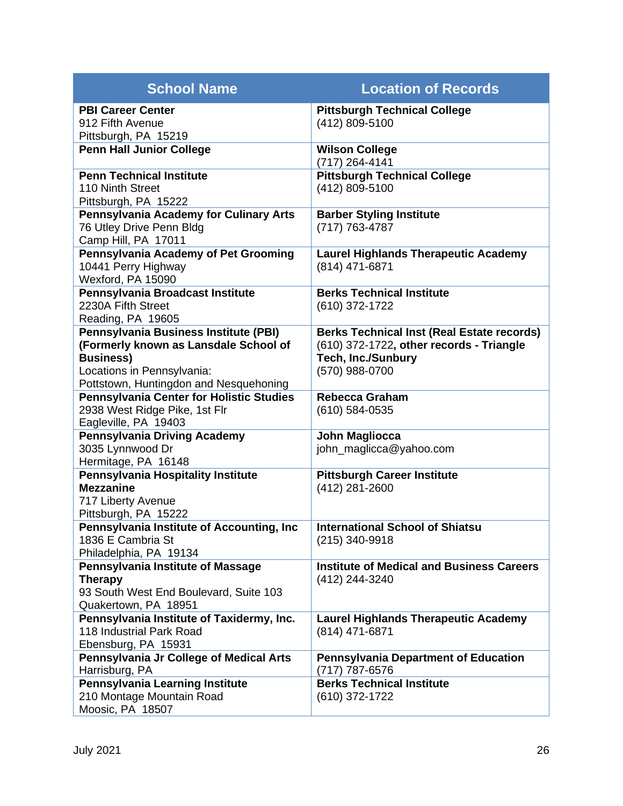| <b>School Name</b>                                                             | <b>Location of Records</b>                                                                    |
|--------------------------------------------------------------------------------|-----------------------------------------------------------------------------------------------|
| <b>PBI Career Center</b>                                                       | <b>Pittsburgh Technical College</b>                                                           |
| 912 Fifth Avenue                                                               | (412) 809-5100                                                                                |
| Pittsburgh, PA 15219                                                           |                                                                                               |
| <b>Penn Hall Junior College</b>                                                | <b>Wilson College</b><br>(717) 264-4141                                                       |
| <b>Penn Technical Institute</b>                                                | <b>Pittsburgh Technical College</b>                                                           |
| 110 Ninth Street                                                               | (412) 809-5100                                                                                |
| Pittsburgh, PA 15222                                                           |                                                                                               |
| <b>Pennsylvania Academy for Culinary Arts</b><br>76 Utley Drive Penn Bldg      | <b>Barber Styling Institute</b><br>(717) 763-4787                                             |
| Camp Hill, PA 17011                                                            |                                                                                               |
| <b>Pennsylvania Academy of Pet Grooming</b>                                    | <b>Laurel Highlands Therapeutic Academy</b>                                                   |
| 10441 Perry Highway                                                            | (814) 471-6871                                                                                |
| Wexford, PA 15090                                                              |                                                                                               |
| Pennsylvania Broadcast Institute                                               | <b>Berks Technical Institute</b>                                                              |
| 2230A Fifth Street                                                             | (610) 372-1722                                                                                |
| Reading, PA 19605                                                              |                                                                                               |
| Pennsylvania Business Institute (PBI)<br>(Formerly known as Lansdale School of | <b>Berks Technical Inst (Real Estate records)</b><br>(610) 372-1722, other records - Triangle |
| <b>Business)</b>                                                               | <b>Tech, Inc./Sunbury</b>                                                                     |
| Locations in Pennsylvania:                                                     | (570) 988-0700                                                                                |
| Pottstown, Huntingdon and Nesquehoning                                         |                                                                                               |
| <b>Pennsylvania Center for Holistic Studies</b>                                | <b>Rebecca Graham</b>                                                                         |
| 2938 West Ridge Pike, 1st Flr                                                  | (610) 584-0535                                                                                |
| Eagleville, PA 19403                                                           |                                                                                               |
| <b>Pennsylvania Driving Academy</b>                                            | <b>John Magliocca</b>                                                                         |
| 3035 Lynnwood Dr<br>Hermitage, PA 16148                                        | john_maglicca@yahoo.com                                                                       |
| Pennsylvania Hospitality Institute                                             | <b>Pittsburgh Career Institute</b>                                                            |
| <b>Mezzanine</b>                                                               | (412) 281-2600                                                                                |
| 717 Liberty Avenue                                                             |                                                                                               |
| Pittsburgh, PA 15222                                                           |                                                                                               |
| Pennsylvania Institute of Accounting, Inc                                      | <b>International School of Shiatsu</b>                                                        |
| 1836 E Cambria St                                                              | (215) 340-9918                                                                                |
| Philadelphia, PA 19134                                                         | <b>Institute of Medical and Business Careers</b>                                              |
| Pennsylvania Institute of Massage<br>Therapy                                   | (412) 244-3240                                                                                |
| 93 South West End Boulevard, Suite 103                                         |                                                                                               |
| Quakertown, PA 18951                                                           |                                                                                               |
| Pennsylvania Institute of Taxidermy, Inc.                                      | <b>Laurel Highlands Therapeutic Academy</b>                                                   |
| 118 Industrial Park Road                                                       | (814) 471-6871                                                                                |
| Ebensburg, PA 15931                                                            |                                                                                               |
| Pennsylvania Jr College of Medical Arts                                        | <b>Pennsylvania Department of Education</b>                                                   |
| Harrisburg, PA<br><b>Pennsylvania Learning Institute</b>                       | (717) 787-6576<br><b>Berks Technical Institute</b>                                            |
| 210 Montage Mountain Road                                                      | (610) 372-1722                                                                                |
| Moosic, PA 18507                                                               |                                                                                               |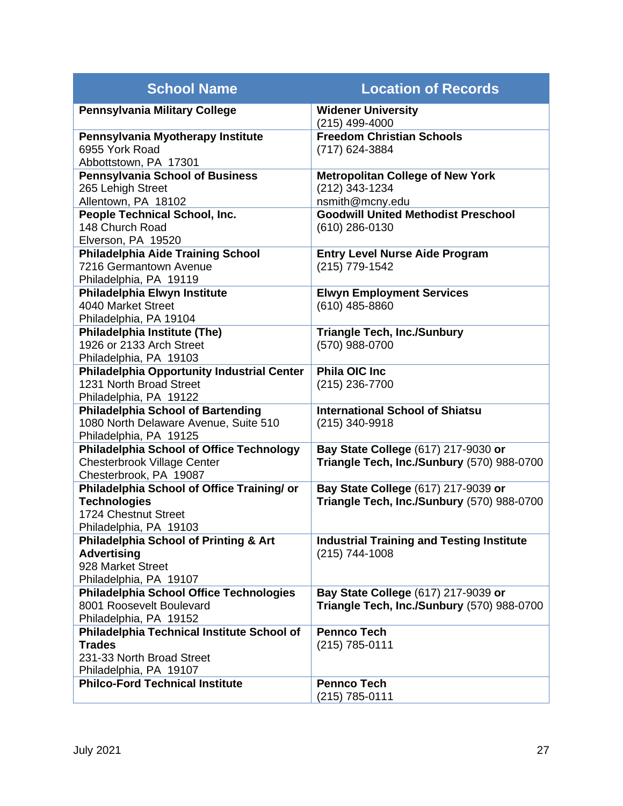| <b>School Name</b>                                                                | <b>Location of Records</b>                               |
|-----------------------------------------------------------------------------------|----------------------------------------------------------|
| Pennsylvania Military College                                                     | <b>Widener University</b><br>(215) 499-4000              |
| Pennsylvania Myotherapy Institute                                                 | <b>Freedom Christian Schools</b>                         |
| 6955 York Road                                                                    | (717) 624-3884                                           |
| Abbottstown, PA 17301                                                             |                                                          |
| <b>Pennsylvania School of Business</b>                                            | <b>Metropolitan College of New York</b>                  |
| 265 Lehigh Street<br>Allentown, PA 18102                                          | (212) 343-1234<br>nsmith@mcny.edu                        |
| <b>People Technical School, Inc.</b>                                              | <b>Goodwill United Methodist Preschool</b>               |
| 148 Church Road                                                                   | (610) 286-0130                                           |
| Elverson, PA 19520                                                                |                                                          |
| <b>Philadelphia Aide Training School</b>                                          | <b>Entry Level Nurse Aide Program</b>                    |
| 7216 Germantown Avenue                                                            | (215) 779-1542                                           |
| Philadelphia, PA 19119                                                            |                                                          |
| Philadelphia Elwyn Institute                                                      | <b>Elwyn Employment Services</b>                         |
| 4040 Market Street                                                                | (610) 485-8860                                           |
| Philadelphia, PA 19104                                                            |                                                          |
| Philadelphia Institute (The)                                                      | <b>Triangle Tech, Inc./Sunbury</b>                       |
| 1926 or 2133 Arch Street                                                          | (570) 988-0700                                           |
| Philadelphia, PA 19103                                                            |                                                          |
| <b>Philadelphia Opportunity Industrial Center</b>                                 | <b>Phila OIC Inc</b>                                     |
| 1231 North Broad Street                                                           | (215) 236-7700                                           |
| Philadelphia, PA 19122                                                            |                                                          |
| <b>Philadelphia School of Bartending</b><br>1080 North Delaware Avenue, Suite 510 | <b>International School of Shiatsu</b><br>(215) 340-9918 |
| Philadelphia, PA 19125                                                            |                                                          |
| <b>Philadelphia School of Office Technology</b>                                   | Bay State College (617) 217-9030 or                      |
| <b>Chesterbrook Village Center</b>                                                | Triangle Tech, Inc./Sunbury (570) 988-0700               |
| Chesterbrook, PA 19087                                                            |                                                          |
| Philadelphia School of Office Training/ or                                        | Bay State College (617) 217-9039 or                      |
| <b>Technologies</b>                                                               | Triangle Tech, Inc./Sunbury (570) 988-0700               |
| 1724 Chestnut Street                                                              |                                                          |
| Philadelphia, PA 19103                                                            |                                                          |
| <b>Philadelphia School of Printing &amp; Art</b>                                  | <b>Industrial Training and Testing Institute</b>         |
| <b>Advertising</b>                                                                | (215) 744-1008                                           |
| 928 Market Street                                                                 |                                                          |
| Philadelphia, PA 19107                                                            |                                                          |
| <b>Philadelphia School Office Technologies</b>                                    | Bay State College (617) 217-9039 or                      |
| 8001 Roosevelt Boulevard                                                          | Triangle Tech, Inc./Sunbury (570) 988-0700               |
| Philadelphia, PA 19152<br>Philadelphia Technical Institute School of              | <b>Pennco Tech</b>                                       |
| <b>Trades</b>                                                                     | (215) 785-0111                                           |
| 231-33 North Broad Street                                                         |                                                          |
| Philadelphia, PA 19107                                                            |                                                          |
| <b>Philco-Ford Technical Institute</b>                                            | <b>Pennco Tech</b>                                       |
|                                                                                   | (215) 785-0111                                           |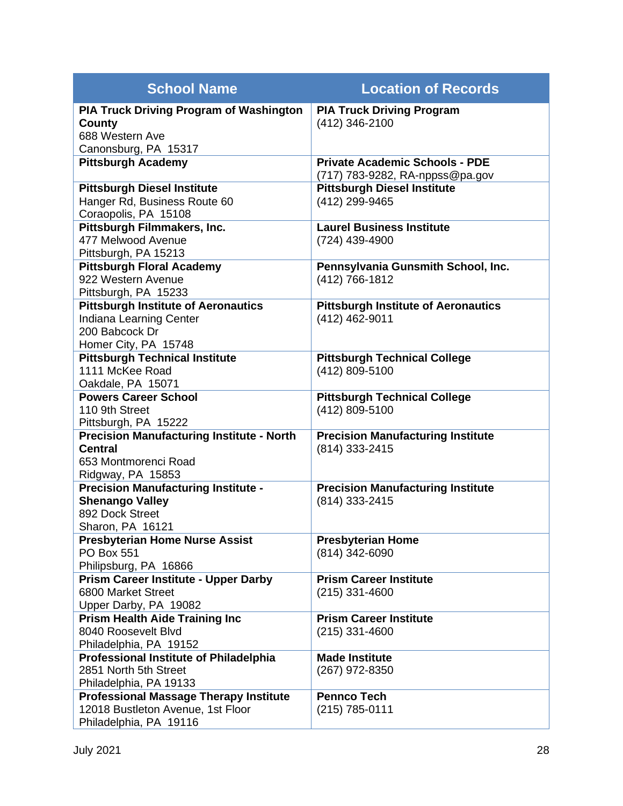| <b>PIA Truck Driving Program of Washington</b><br><b>PIA Truck Driving Program</b><br>(412) 346-2100<br>County<br>688 Western Ave<br>Canonsburg, PA 15317<br><b>Pittsburgh Academy</b><br><b>Private Academic Schools - PDE</b><br>(717) 783-9282, RA-nppss@pa.gov<br><b>Pittsburgh Diesel Institute</b><br><b>Pittsburgh Diesel Institute</b><br>Hanger Rd, Business Route 60<br>(412) 299-9465<br>Coraopolis, PA 15108<br><b>Laurel Business Institute</b><br>Pittsburgh Filmmakers, Inc.<br>477 Melwood Avenue<br>(724) 439-4900<br>Pittsburgh, PA 15213<br>Pennsylvania Gunsmith School, Inc.<br><b>Pittsburgh Floral Academy</b><br>922 Western Avenue<br>(412) 766-1812<br>Pittsburgh, PA 15233<br><b>Pittsburgh Institute of Aeronautics</b><br><b>Pittsburgh Institute of Aeronautics</b><br>Indiana Learning Center<br>(412) 462-9011 |
|------------------------------------------------------------------------------------------------------------------------------------------------------------------------------------------------------------------------------------------------------------------------------------------------------------------------------------------------------------------------------------------------------------------------------------------------------------------------------------------------------------------------------------------------------------------------------------------------------------------------------------------------------------------------------------------------------------------------------------------------------------------------------------------------------------------------------------------------|
|                                                                                                                                                                                                                                                                                                                                                                                                                                                                                                                                                                                                                                                                                                                                                                                                                                                |
|                                                                                                                                                                                                                                                                                                                                                                                                                                                                                                                                                                                                                                                                                                                                                                                                                                                |
|                                                                                                                                                                                                                                                                                                                                                                                                                                                                                                                                                                                                                                                                                                                                                                                                                                                |
|                                                                                                                                                                                                                                                                                                                                                                                                                                                                                                                                                                                                                                                                                                                                                                                                                                                |
|                                                                                                                                                                                                                                                                                                                                                                                                                                                                                                                                                                                                                                                                                                                                                                                                                                                |
|                                                                                                                                                                                                                                                                                                                                                                                                                                                                                                                                                                                                                                                                                                                                                                                                                                                |
|                                                                                                                                                                                                                                                                                                                                                                                                                                                                                                                                                                                                                                                                                                                                                                                                                                                |
|                                                                                                                                                                                                                                                                                                                                                                                                                                                                                                                                                                                                                                                                                                                                                                                                                                                |
|                                                                                                                                                                                                                                                                                                                                                                                                                                                                                                                                                                                                                                                                                                                                                                                                                                                |
|                                                                                                                                                                                                                                                                                                                                                                                                                                                                                                                                                                                                                                                                                                                                                                                                                                                |
|                                                                                                                                                                                                                                                                                                                                                                                                                                                                                                                                                                                                                                                                                                                                                                                                                                                |
|                                                                                                                                                                                                                                                                                                                                                                                                                                                                                                                                                                                                                                                                                                                                                                                                                                                |
|                                                                                                                                                                                                                                                                                                                                                                                                                                                                                                                                                                                                                                                                                                                                                                                                                                                |
|                                                                                                                                                                                                                                                                                                                                                                                                                                                                                                                                                                                                                                                                                                                                                                                                                                                |
|                                                                                                                                                                                                                                                                                                                                                                                                                                                                                                                                                                                                                                                                                                                                                                                                                                                |
|                                                                                                                                                                                                                                                                                                                                                                                                                                                                                                                                                                                                                                                                                                                                                                                                                                                |
| 200 Babcock Dr                                                                                                                                                                                                                                                                                                                                                                                                                                                                                                                                                                                                                                                                                                                                                                                                                                 |
| Homer City, PA 15748                                                                                                                                                                                                                                                                                                                                                                                                                                                                                                                                                                                                                                                                                                                                                                                                                           |
| <b>Pittsburgh Technical Institute</b><br><b>Pittsburgh Technical College</b><br>1111 McKee Road                                                                                                                                                                                                                                                                                                                                                                                                                                                                                                                                                                                                                                                                                                                                                |
| (412) 809-5100                                                                                                                                                                                                                                                                                                                                                                                                                                                                                                                                                                                                                                                                                                                                                                                                                                 |
| Oakdale, PA 15071<br><b>Powers Career School</b>                                                                                                                                                                                                                                                                                                                                                                                                                                                                                                                                                                                                                                                                                                                                                                                               |
| <b>Pittsburgh Technical College</b><br>110 9th Street<br>(412) 809-5100                                                                                                                                                                                                                                                                                                                                                                                                                                                                                                                                                                                                                                                                                                                                                                        |
| Pittsburgh, PA 15222                                                                                                                                                                                                                                                                                                                                                                                                                                                                                                                                                                                                                                                                                                                                                                                                                           |
| <b>Precision Manufacturing Institute - North</b><br><b>Precision Manufacturing Institute</b>                                                                                                                                                                                                                                                                                                                                                                                                                                                                                                                                                                                                                                                                                                                                                   |
| <b>Central</b><br>(814) 333-2415                                                                                                                                                                                                                                                                                                                                                                                                                                                                                                                                                                                                                                                                                                                                                                                                               |
| 653 Montmorenci Road                                                                                                                                                                                                                                                                                                                                                                                                                                                                                                                                                                                                                                                                                                                                                                                                                           |
| Ridgway, PA 15853                                                                                                                                                                                                                                                                                                                                                                                                                                                                                                                                                                                                                                                                                                                                                                                                                              |
| <b>Precision Manufacturing Institute -</b><br><b>Precision Manufacturing Institute</b>                                                                                                                                                                                                                                                                                                                                                                                                                                                                                                                                                                                                                                                                                                                                                         |
| <b>Shenango Valley</b><br>(814) 333-2415                                                                                                                                                                                                                                                                                                                                                                                                                                                                                                                                                                                                                                                                                                                                                                                                       |
| 892 Dock Street                                                                                                                                                                                                                                                                                                                                                                                                                                                                                                                                                                                                                                                                                                                                                                                                                                |
| Sharon, PA 16121                                                                                                                                                                                                                                                                                                                                                                                                                                                                                                                                                                                                                                                                                                                                                                                                                               |
| <b>Presbyterian Home Nurse Assist</b><br><b>Presbyterian Home</b>                                                                                                                                                                                                                                                                                                                                                                                                                                                                                                                                                                                                                                                                                                                                                                              |
| <b>PO Box 551</b><br>(814) 342-6090                                                                                                                                                                                                                                                                                                                                                                                                                                                                                                                                                                                                                                                                                                                                                                                                            |
| Philipsburg, PA 16866                                                                                                                                                                                                                                                                                                                                                                                                                                                                                                                                                                                                                                                                                                                                                                                                                          |
| <b>Prism Career Institute - Upper Darby</b><br><b>Prism Career Institute</b>                                                                                                                                                                                                                                                                                                                                                                                                                                                                                                                                                                                                                                                                                                                                                                   |
| 6800 Market Street<br>$(215)$ 331-4600                                                                                                                                                                                                                                                                                                                                                                                                                                                                                                                                                                                                                                                                                                                                                                                                         |
| Upper Darby, PA 19082                                                                                                                                                                                                                                                                                                                                                                                                                                                                                                                                                                                                                                                                                                                                                                                                                          |
| <b>Prism Career Institute</b><br><b>Prism Health Aide Training Inc</b>                                                                                                                                                                                                                                                                                                                                                                                                                                                                                                                                                                                                                                                                                                                                                                         |
| 8040 Roosevelt Blvd<br>$(215)$ 331-4600                                                                                                                                                                                                                                                                                                                                                                                                                                                                                                                                                                                                                                                                                                                                                                                                        |
| Philadelphia, PA 19152                                                                                                                                                                                                                                                                                                                                                                                                                                                                                                                                                                                                                                                                                                                                                                                                                         |
| <b>Professional Institute of Philadelphia</b><br><b>Made Institute</b>                                                                                                                                                                                                                                                                                                                                                                                                                                                                                                                                                                                                                                                                                                                                                                         |
| 2851 North 5th Street<br>(267) 972-8350                                                                                                                                                                                                                                                                                                                                                                                                                                                                                                                                                                                                                                                                                                                                                                                                        |
| Philadelphia, PA 19133                                                                                                                                                                                                                                                                                                                                                                                                                                                                                                                                                                                                                                                                                                                                                                                                                         |
| <b>Pennco Tech</b><br><b>Professional Massage Therapy Institute</b><br>12018 Bustleton Avenue, 1st Floor<br>(215) 785-0111                                                                                                                                                                                                                                                                                                                                                                                                                                                                                                                                                                                                                                                                                                                     |
| Philadelphia, PA 19116                                                                                                                                                                                                                                                                                                                                                                                                                                                                                                                                                                                                                                                                                                                                                                                                                         |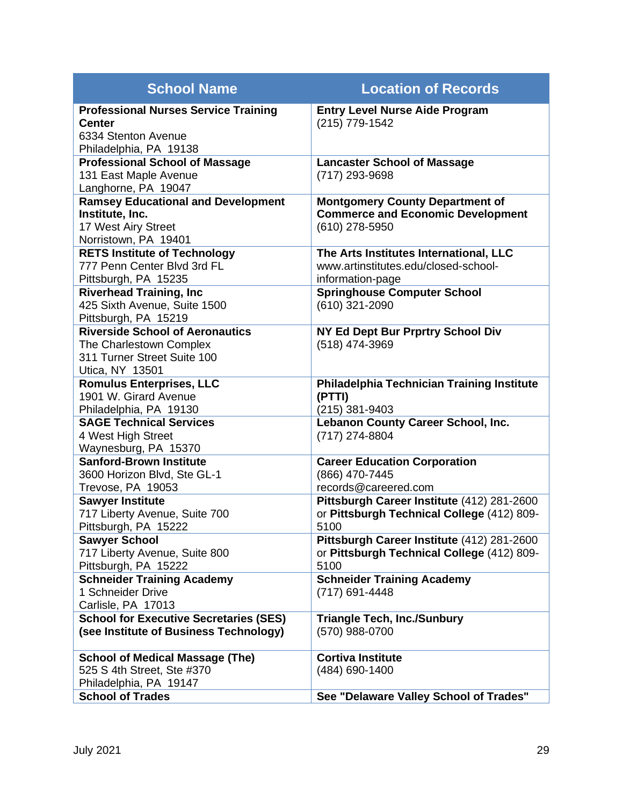| <b>School Name</b>                                                                                                  | <b>Location of Records</b>                                                                           |
|---------------------------------------------------------------------------------------------------------------------|------------------------------------------------------------------------------------------------------|
| <b>Professional Nurses Service Training</b><br><b>Center</b><br>6334 Stenton Avenue<br>Philadelphia, PA 19138       | <b>Entry Level Nurse Aide Program</b><br>(215) 779-1542                                              |
| <b>Professional School of Massage</b><br>131 East Maple Avenue<br>Langhorne, PA 19047                               | <b>Lancaster School of Massage</b><br>(717) 293-9698                                                 |
| <b>Ramsey Educational and Development</b><br>Institute, Inc.<br>17 West Airy Street<br>Norristown, PA 19401         | <b>Montgomery County Department of</b><br><b>Commerce and Economic Development</b><br>(610) 278-5950 |
| <b>RETS Institute of Technology</b><br>777 Penn Center Blvd 3rd FL<br>Pittsburgh, PA 15235                          | The Arts Institutes International, LLC<br>www.artinstitutes.edu/closed-school-<br>information-page   |
| <b>Riverhead Training, Inc.</b><br>425 Sixth Avenue, Suite 1500<br>Pittsburgh, PA 15219                             | <b>Springhouse Computer School</b><br>(610) 321-2090                                                 |
| <b>Riverside School of Aeronautics</b><br>The Charlestown Complex<br>311 Turner Street Suite 100<br>Utica, NY 13501 | NY Ed Dept Bur Prprtry School Div<br>(518) 474-3969                                                  |
| <b>Romulus Enterprises, LLC</b><br>1901 W. Girard Avenue<br>Philadelphia, PA 19130                                  | Philadelphia Technician Training Institute<br>(PTTI)<br>(215) 381-9403                               |
| <b>SAGE Technical Services</b><br>4 West High Street<br>Waynesburg, PA 15370                                        | Lebanon County Career School, Inc.<br>(717) 274-8804                                                 |
| Sanford-Brown Institute<br>3600 Horizon Blvd, Ste GL-1<br>Trevose, PA 19053                                         | <b>Career Education Corporation</b><br>(866) 470-7445<br>records@careered.com                        |
| <b>Sawyer Institute</b><br>717 Liberty Avenue, Suite 700<br>Pittsburgh, PA 15222                                    | Pittsburgh Career Institute (412) 281-2600<br>or Pittsburgh Technical College (412) 809-<br>5100     |
| <b>Sawyer School</b><br>717 Liberty Avenue, Suite 800<br>Pittsburgh, PA 15222                                       | Pittsburgh Career Institute (412) 281-2600<br>or Pittsburgh Technical College (412) 809-<br>5100     |
| <b>Schneider Training Academy</b><br>1 Schneider Drive<br>Carlisle, PA 17013                                        | <b>Schneider Training Academy</b><br>(717) 691-4448                                                  |
| <b>School for Executive Secretaries (SES)</b><br>(see Institute of Business Technology)                             | <b>Triangle Tech, Inc./Sunbury</b><br>(570) 988-0700                                                 |
| <b>School of Medical Massage (The)</b><br>525 S 4th Street, Ste #370<br>Philadelphia, PA 19147                      | <b>Cortiva Institute</b><br>(484) 690-1400                                                           |
| <b>School of Trades</b>                                                                                             | See "Delaware Valley School of Trades"                                                               |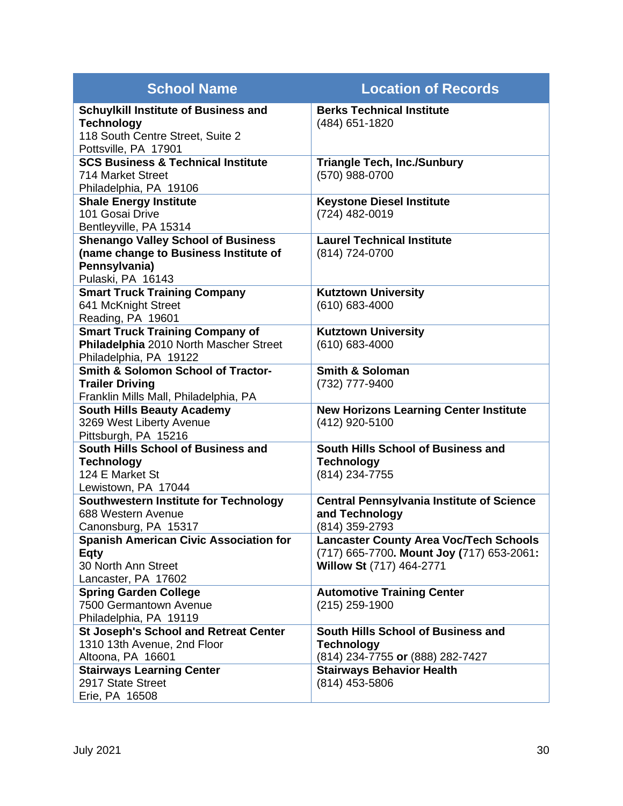| <b>School Name</b>                                                      | <b>Location of Records</b>                           |
|-------------------------------------------------------------------------|------------------------------------------------------|
| Schuylkill Institute of Business and                                    | <b>Berks Technical Institute</b>                     |
| <b>Technology</b>                                                       | (484) 651-1820                                       |
| 118 South Centre Street, Suite 2                                        |                                                      |
| Pottsville, PA 17901<br><b>SCS Business &amp; Technical Institute</b>   |                                                      |
| 714 Market Street                                                       | <b>Triangle Tech, Inc./Sunbury</b><br>(570) 988-0700 |
| Philadelphia, PA 19106                                                  |                                                      |
| <b>Shale Energy Institute</b>                                           | <b>Keystone Diesel Institute</b>                     |
| 101 Gosai Drive                                                         | (724) 482-0019                                       |
| Bentleyville, PA 15314                                                  |                                                      |
| <b>Shenango Valley School of Business</b>                               | <b>Laurel Technical Institute</b>                    |
| (name change to Business Institute of                                   | (814) 724-0700                                       |
| Pennsylvania)                                                           |                                                      |
| Pulaski, PA 16143                                                       |                                                      |
| <b>Smart Truck Training Company</b>                                     | <b>Kutztown University</b>                           |
| 641 McKnight Street                                                     | (610) 683-4000                                       |
| Reading, PA 19601                                                       |                                                      |
| <b>Smart Truck Training Company of</b>                                  | <b>Kutztown University</b>                           |
| Philadelphia 2010 North Mascher Street                                  | (610) 683-4000                                       |
| Philadelphia, PA 19122<br><b>Smith &amp; Solomon School of Tractor-</b> | <b>Smith &amp; Soloman</b>                           |
| <b>Trailer Driving</b>                                                  | (732) 777-9400                                       |
| Franklin Mills Mall, Philadelphia, PA                                   |                                                      |
| <b>South Hills Beauty Academy</b>                                       | <b>New Horizons Learning Center Institute</b>        |
| 3269 West Liberty Avenue                                                | (412) 920-5100                                       |
| Pittsburgh, PA 15216                                                    |                                                      |
| South Hills School of Business and                                      | South Hills School of Business and                   |
| <b>Technology</b>                                                       | <b>Technology</b>                                    |
| 124 E Market St                                                         | (814) 234-7755                                       |
| Lewistown, PA 17044                                                     |                                                      |
| Southwestern Institute for Technology                                   | <b>Central Pennsylvania Institute of Science</b>     |
| 688 Western Avenue                                                      | and Technology                                       |
| Canonsburg, PA 15317                                                    | (814) 359-2793                                       |
| <b>Spanish American Civic Association for</b>                           | <b>Lancaster County Area Voc/Tech Schools</b>        |
| Eqty                                                                    | (717) 665-7700. Mount Joy (717) 653-2061:            |
| 30 North Ann Street                                                     | Willow St (717) 464-2771                             |
| Lancaster, PA 17602                                                     |                                                      |
| <b>Spring Garden College</b><br>7500 Germantown Avenue                  | <b>Automotive Training Center</b>                    |
| Philadelphia, PA 19119                                                  | (215) 259-1900                                       |
| <b>St Joseph's School and Retreat Center</b>                            | South Hills School of Business and                   |
| 1310 13th Avenue, 2nd Floor                                             | <b>Technology</b>                                    |
| Altoona, PA 16601                                                       | (814) 234-7755 or (888) 282-7427                     |
| <b>Stairways Learning Center</b>                                        | <b>Stairways Behavior Health</b>                     |
| 2917 State Street                                                       | (814) 453-5806                                       |
| Erie, PA 16508                                                          |                                                      |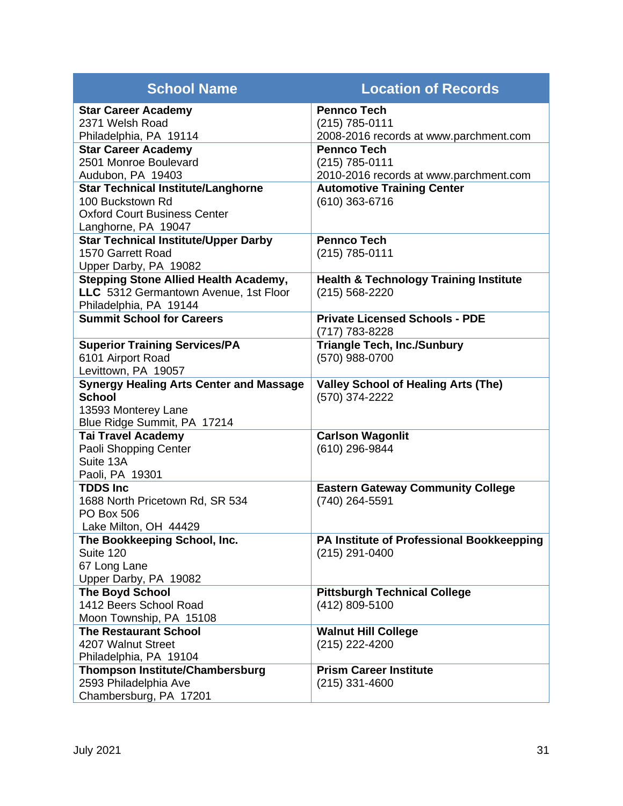| <b>School Name</b>                                              | <b>Location of Records</b>                                                  |
|-----------------------------------------------------------------|-----------------------------------------------------------------------------|
| <b>Star Career Academy</b>                                      | <b>Pennco Tech</b>                                                          |
| 2371 Welsh Road                                                 | (215) 785-0111                                                              |
| Philadelphia, PA 19114                                          | 2008-2016 records at www.parchment.com                                      |
| <b>Star Career Academy</b>                                      | <b>Pennco Tech</b>                                                          |
| 2501 Monroe Boulevard                                           | (215) 785-0111                                                              |
| Audubon, PA 19403<br><b>Star Technical Institute/Langhorne</b>  | 2010-2016 records at www.parchment.com<br><b>Automotive Training Center</b> |
| 100 Buckstown Rd                                                | (610) 363-6716                                                              |
| <b>Oxford Court Business Center</b>                             |                                                                             |
| Langhorne, PA 19047                                             |                                                                             |
| <b>Star Technical Institute/Upper Darby</b>                     | <b>Pennco Tech</b>                                                          |
| 1570 Garrett Road                                               | (215) 785-0111                                                              |
| Upper Darby, PA 19082                                           |                                                                             |
| <b>Stepping Stone Allied Health Academy,</b>                    | <b>Health &amp; Technology Training Institute</b>                           |
| LLC 5312 Germantown Avenue, 1st Floor                           | $(215) 568 - 2220$                                                          |
| Philadelphia, PA 19144                                          |                                                                             |
| <b>Summit School for Careers</b>                                | <b>Private Licensed Schools - PDE</b>                                       |
|                                                                 | (717) 783-8228                                                              |
| <b>Superior Training Services/PA</b>                            | <b>Triangle Tech, Inc./Sunbury</b>                                          |
| 6101 Airport Road                                               | (570) 988-0700                                                              |
| Levittown, PA 19057                                             |                                                                             |
| <b>Synergy Healing Arts Center and Massage</b><br><b>School</b> | <b>Valley School of Healing Arts (The)</b><br>(570) 374-2222                |
| 13593 Monterey Lane                                             |                                                                             |
| Blue Ridge Summit, PA 17214                                     |                                                                             |
| <b>Tai Travel Academy</b>                                       | <b>Carlson Wagonlit</b>                                                     |
| Paoli Shopping Center                                           | (610) 296-9844                                                              |
| Suite 13A                                                       |                                                                             |
| Paoli, PA 19301                                                 |                                                                             |
| <b>TDDS Inc</b>                                                 | <b>Eastern Gateway Community College</b>                                    |
| 1688 North Pricetown Rd, SR 534                                 | (740) 264-5591                                                              |
| <b>PO Box 506</b>                                               |                                                                             |
| Lake Milton, OH 44429                                           |                                                                             |
| The Bookkeeping School, Inc.                                    | PA Institute of Professional Bookkeepping                                   |
| Suite 120                                                       | (215) 291-0400                                                              |
| 67 Long Lane                                                    |                                                                             |
| Upper Darby, PA 19082                                           |                                                                             |
| <b>The Boyd School</b><br>1412 Beers School Road                | <b>Pittsburgh Technical College</b><br>(412) 809-5100                       |
| Moon Township, PA 15108                                         |                                                                             |
| <b>The Restaurant School</b>                                    | <b>Walnut Hill College</b>                                                  |
| 4207 Walnut Street                                              | (215) 222-4200                                                              |
| Philadelphia, PA 19104                                          |                                                                             |
| <b>Thompson Institute/Chambersburg</b>                          | <b>Prism Career Institute</b>                                               |
| 2593 Philadelphia Ave                                           | $(215)$ 331-4600                                                            |
| Chambersburg, PA 17201                                          |                                                                             |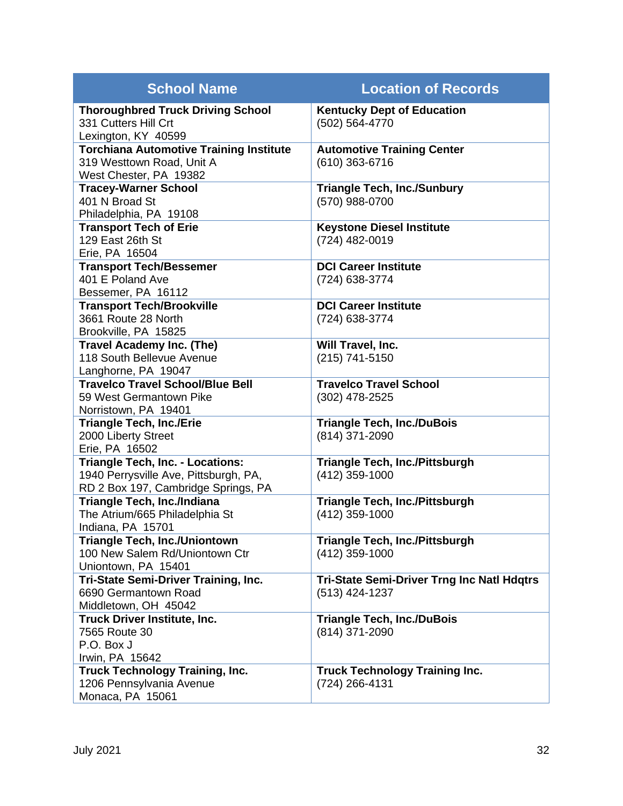| <b>School Name</b>                                                                                                      | <b>Location of Records</b>                                          |
|-------------------------------------------------------------------------------------------------------------------------|---------------------------------------------------------------------|
| <b>Thoroughbred Truck Driving School</b><br>331 Cutters Hill Crt<br>Lexington, KY 40599                                 | <b>Kentucky Dept of Education</b><br>(502) 564-4770                 |
| <b>Torchiana Automotive Training Institute</b><br>319 Westtown Road, Unit A<br>West Chester, PA 19382                   | <b>Automotive Training Center</b><br>(610) 363-6716                 |
| <b>Tracey-Warner School</b><br>401 N Broad St<br>Philadelphia, PA 19108                                                 | <b>Triangle Tech, Inc./Sunbury</b><br>(570) 988-0700                |
| <b>Transport Tech of Erie</b><br>129 East 26th St<br>Erie, PA 16504                                                     | <b>Keystone Diesel Institute</b><br>(724) 482-0019                  |
| <b>Transport Tech/Bessemer</b><br>401 E Poland Ave<br>Bessemer, PA 16112                                                | <b>DCI Career Institute</b><br>(724) 638-3774                       |
| <b>Transport Tech/Brookville</b><br>3661 Route 28 North<br>Brookville, PA 15825                                         | <b>DCI Career Institute</b><br>(724) 638-3774                       |
| <b>Travel Academy Inc. (The)</b><br>118 South Bellevue Avenue<br>Langhorne, PA 19047                                    | Will Travel, Inc.<br>(215) 741-5150                                 |
| <b>Travelco Travel School/Blue Bell</b><br>59 West Germantown Pike<br>Norristown, PA 19401                              | <b>Travelco Travel School</b><br>(302) 478-2525                     |
| <b>Triangle Tech, Inc./Erie</b><br>2000 Liberty Street<br>Erie, PA 16502                                                | <b>Triangle Tech, Inc./DuBois</b><br>(814) 371-2090                 |
| <b>Triangle Tech, Inc. - Locations:</b><br>1940 Perrysville Ave, Pittsburgh, PA,<br>RD 2 Box 197, Cambridge Springs, PA | <b>Triangle Tech, Inc./Pittsburgh</b><br>(412) 359-1000             |
| <b>Triangle Tech, Inc./Indiana</b><br>The Atrium/665 Philadelphia St<br>Indiana, PA 15701                               | Triangle Tech, Inc./Pittsburgh<br>(412) 359-1000                    |
| <b>Triangle Tech, Inc./Uniontown</b><br>100 New Salem Rd/Uniontown Ctr<br>Uniontown, PA 15401                           | <b>Triangle Tech, Inc./Pittsburgh</b><br>(412) 359-1000             |
| Tri-State Semi-Driver Training, Inc.<br>6690 Germantown Road<br>Middletown, OH 45042                                    | <b>Tri-State Semi-Driver Trng Inc Natl Hdqtrs</b><br>(513) 424-1237 |
| <b>Truck Driver Institute, Inc.</b><br>7565 Route 30<br>P.O. Box J<br>Irwin, PA 15642                                   | <b>Triangle Tech, Inc./DuBois</b><br>(814) 371-2090                 |
| <b>Truck Technology Training, Inc.</b><br>1206 Pennsylvania Avenue<br>Monaca, PA 15061                                  | <b>Truck Technology Training Inc.</b><br>(724) 266-4131             |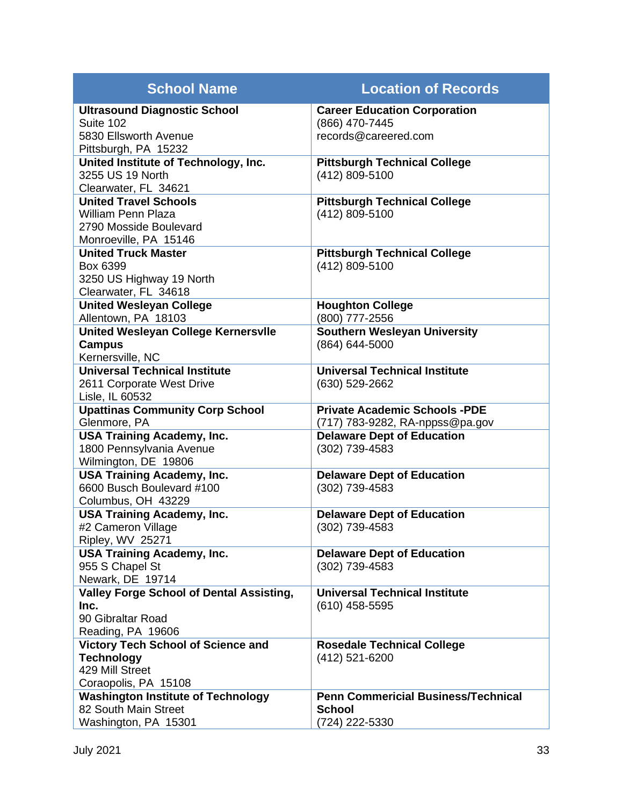| <b>School Name</b>                                            | <b>Location of Records</b>                          |
|---------------------------------------------------------------|-----------------------------------------------------|
| <b>Ultrasound Diagnostic School</b>                           | <b>Career Education Corporation</b>                 |
| Suite 102                                                     | (866) 470-7445                                      |
| 5830 Ellsworth Avenue                                         | records@careered.com                                |
| Pittsburgh, PA 15232                                          |                                                     |
| United Institute of Technology, Inc.<br>3255 US 19 North      | <b>Pittsburgh Technical College</b>                 |
| Clearwater, FL 34621                                          | (412) 809-5100                                      |
| <b>United Travel Schools</b>                                  | <b>Pittsburgh Technical College</b>                 |
| <b>William Penn Plaza</b>                                     | (412) 809-5100                                      |
| 2790 Mosside Boulevard                                        |                                                     |
| Monroeville, PA 15146                                         |                                                     |
| <b>United Truck Master</b>                                    | <b>Pittsburgh Technical College</b>                 |
| Box 6399                                                      | (412) 809-5100                                      |
| 3250 US Highway 19 North                                      |                                                     |
| Clearwater, FL 34618                                          |                                                     |
| <b>United Wesleyan College</b>                                | <b>Houghton College</b>                             |
| Allentown, PA 18103                                           | (800) 777-2556                                      |
| <b>United Wesleyan College Kernersvlle</b>                    | <b>Southern Wesleyan University</b>                 |
| <b>Campus</b>                                                 | (864) 644-5000                                      |
| Kernersville, NC                                              |                                                     |
| <b>Universal Technical Institute</b>                          | <b>Universal Technical Institute</b>                |
| 2611 Corporate West Drive                                     | (630) 529-2662                                      |
| Lisle, IL 60532                                               |                                                     |
| <b>Upattinas Community Corp School</b>                        | <b>Private Academic Schools -PDE</b>                |
| Glenmore, PA                                                  | (717) 783-9282, RA-nppss@pa.gov                     |
| <b>USA Training Academy, Inc.</b><br>1800 Pennsylvania Avenue | <b>Delaware Dept of Education</b><br>(302) 739-4583 |
| Wilmington, DE 19806                                          |                                                     |
| <b>USA Training Academy, Inc.</b>                             | <b>Delaware Dept of Education</b>                   |
| 6600 Busch Boulevard #100                                     | (302) 739-4583                                      |
| Columbus, OH 43229                                            |                                                     |
| <b>USA Training Academy, Inc.</b>                             | <b>Delaware Dept of Education</b>                   |
| #2 Cameron Village                                            | (302) 739-4583                                      |
| <b>Ripley, WV 25271</b>                                       |                                                     |
| <b>USA Training Academy, Inc.</b>                             | <b>Delaware Dept of Education</b>                   |
| 955 S Chapel St                                               | (302) 739-4583                                      |
| Newark, DE 19714                                              |                                                     |
| <b>Valley Forge School of Dental Assisting,</b>               | <b>Universal Technical Institute</b>                |
| Inc.                                                          | (610) 458-5595                                      |
| 90 Gibraltar Road                                             |                                                     |
| Reading, PA 19606                                             |                                                     |
| <b>Victory Tech School of Science and</b>                     | <b>Rosedale Technical College</b>                   |
| <b>Technology</b><br>429 Mill Street                          | (412) 521-6200                                      |
| Coraopolis, PA 15108                                          |                                                     |
| <b>Washington Institute of Technology</b>                     | <b>Penn Commericial Business/Technical</b>          |
| 82 South Main Street                                          | <b>School</b>                                       |
| Washington, PA 15301                                          | (724) 222-5330                                      |
|                                                               |                                                     |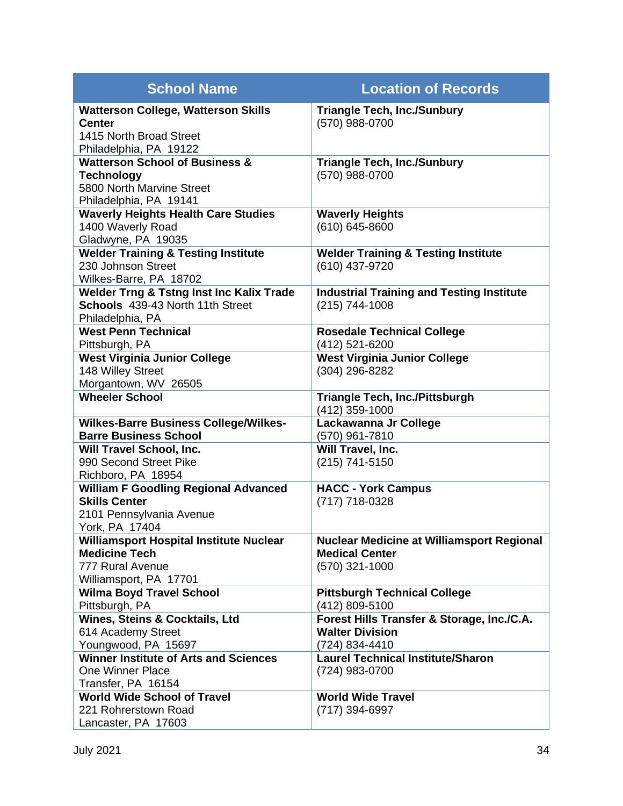| <b>School Name</b>                                                                                                    | <b>Location of Records</b>                                                                    |
|-----------------------------------------------------------------------------------------------------------------------|-----------------------------------------------------------------------------------------------|
| <b>Watterson College, Watterson Skills</b><br><b>Center</b><br>1415 North Broad Street<br>Philadelphia, PA 19122      | <b>Triangle Tech, Inc./Sunbury</b><br>(570) 988-0700                                          |
| <b>Watterson School of Business &amp;</b><br><b>Technology</b><br>5800 North Marvine Street<br>Philadelphia, PA 19141 | <b>Triangle Tech, Inc./Sunbury</b><br>(570) 988-0700                                          |
| <b>Waverly Heights Health Care Studies</b><br>1400 Waverly Road<br>Gladwyne, PA 19035                                 | <b>Waverly Heights</b><br>(610) 645-8600                                                      |
| <b>Welder Training &amp; Testing Institute</b><br>230 Johnson Street<br>Wilkes-Barre, PA 18702                        | <b>Welder Training &amp; Testing Institute</b><br>(610) 437-9720                              |
| <b>Welder Trng &amp; Tstng Inst Inc Kalix Trade</b><br>Schools 439-43 North 11th Street<br>Philadelphia, PA           | <b>Industrial Training and Testing Institute</b><br>$(215)$ 744-1008                          |
| <b>West Penn Technical</b><br>Pittsburgh, PA                                                                          | <b>Rosedale Technical College</b><br>(412) 521-6200                                           |
| <b>West Virginia Junior College</b><br>148 Willey Street<br>Morgantown, WV 26505                                      | <b>West Virginia Junior College</b><br>(304) 296-8282                                         |
| <b>Wheeler School</b>                                                                                                 | <b>Triangle Tech, Inc./Pittsburgh</b><br>(412) 359-1000                                       |
| <b>Wilkes-Barre Business College/Wilkes-</b><br><b>Barre Business School</b>                                          | Lackawanna Jr College<br>(570) 961-7810                                                       |
| <b>Will Travel School, Inc.</b><br>990 Second Street Pike<br>Richboro, PA 18954                                       | Will Travel, Inc.<br>(215) 741-5150                                                           |
| <b>William F Goodling Regional Advanced</b><br><b>Skills Center</b><br>2101 Pennsylvania Avenue<br>York, PA 17404     | <b>HACC - York Campus</b><br>(717) 718-0328                                                   |
| <b>Williamsport Hospital Institute Nuclear</b><br><b>Medicine Tech</b><br>777 Rural Avenue<br>Williamsport, PA 17701  | <b>Nuclear Medicine at Williamsport Regional</b><br><b>Medical Center</b><br>$(570)$ 321-1000 |
| <b>Wilma Boyd Travel School</b><br>Pittsburgh, PA                                                                     | <b>Pittsburgh Technical College</b><br>(412) 809-5100                                         |
| Wines, Steins & Cocktails, Ltd<br>614 Academy Street<br>Youngwood, PA 15697                                           | Forest Hills Transfer & Storage, Inc./C.A.<br><b>Walter Division</b><br>(724) 834-4410        |
| <b>Winner Institute of Arts and Sciences</b><br><b>One Winner Place</b><br>Transfer, PA 16154                         | <b>Laurel Technical Institute/Sharon</b><br>(724) 983-0700                                    |
| <b>World Wide School of Travel</b><br>221 Rohrerstown Road<br>Lancaster, PA 17603                                     | <b>World Wide Travel</b><br>(717) 394-6997                                                    |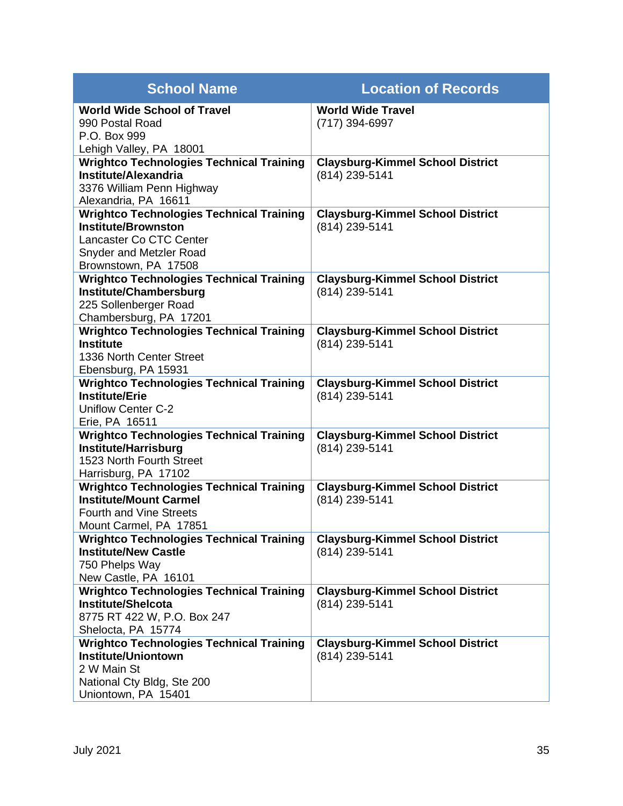| <b>School Name</b>                                                                                                                                                 | <b>Location of Records</b>                                |
|--------------------------------------------------------------------------------------------------------------------------------------------------------------------|-----------------------------------------------------------|
| <b>World Wide School of Travel</b><br>990 Postal Road<br>P.O. Box 999<br>Lehigh Valley, PA 18001                                                                   | <b>World Wide Travel</b><br>(717) 394-6997                |
| <b>Wrightco Technologies Technical Training</b><br><b>Institute/Alexandria</b><br>3376 William Penn Highway<br>Alexandria, PA 16611                                | <b>Claysburg-Kimmel School District</b><br>(814) 239-5141 |
| <b>Wrightco Technologies Technical Training</b><br><b>Institute/Brownston</b><br>Lancaster Co CTC Center<br><b>Snyder and Metzler Road</b><br>Brownstown, PA 17508 | <b>Claysburg-Kimmel School District</b><br>(814) 239-5141 |
| <b>Wrightco Technologies Technical Training</b><br>Institute/Chambersburg<br>225 Sollenberger Road<br>Chambersburg, PA 17201                                       | <b>Claysburg-Kimmel School District</b><br>(814) 239-5141 |
| <b>Wrightco Technologies Technical Training</b><br><b>Institute</b><br>1336 North Center Street<br>Ebensburg, PA 15931                                             | <b>Claysburg-Kimmel School District</b><br>(814) 239-5141 |
| <b>Wrightco Technologies Technical Training</b><br><b>Institute/Erie</b><br><b>Uniflow Center C-2</b><br>Erie, PA 16511                                            | <b>Claysburg-Kimmel School District</b><br>(814) 239-5141 |
| <b>Wrightco Technologies Technical Training</b><br><b>Institute/Harrisburg</b><br>1523 North Fourth Street<br>Harrisburg, PA 17102                                 | <b>Claysburg-Kimmel School District</b><br>(814) 239-5141 |
| <b>Wrightco Technologies Technical Training</b><br><b>Institute/Mount Carmel</b><br><b>Fourth and Vine Streets</b><br>Mount Carmel, PA 17851                       | <b>Claysburg-Kimmel School District</b><br>(814) 239-5141 |
| <b>Wrightco Technologies Technical Training</b><br><b>Institute/New Castle</b><br>750 Phelps Way<br>New Castle, PA 16101                                           | <b>Claysburg-Kimmel School District</b><br>(814) 239-5141 |
| <b>Wrightco Technologies Technical Training</b><br><b>Institute/Shelcota</b><br>8775 RT 422 W, P.O. Box 247<br>Shelocta, PA 15774                                  | <b>Claysburg-Kimmel School District</b><br>(814) 239-5141 |
| <b>Wrightco Technologies Technical Training</b><br><b>Institute/Uniontown</b><br>2 W Main St<br>National Cty Bldg, Ste 200<br>Uniontown, PA 15401                  | <b>Claysburg-Kimmel School District</b><br>(814) 239-5141 |